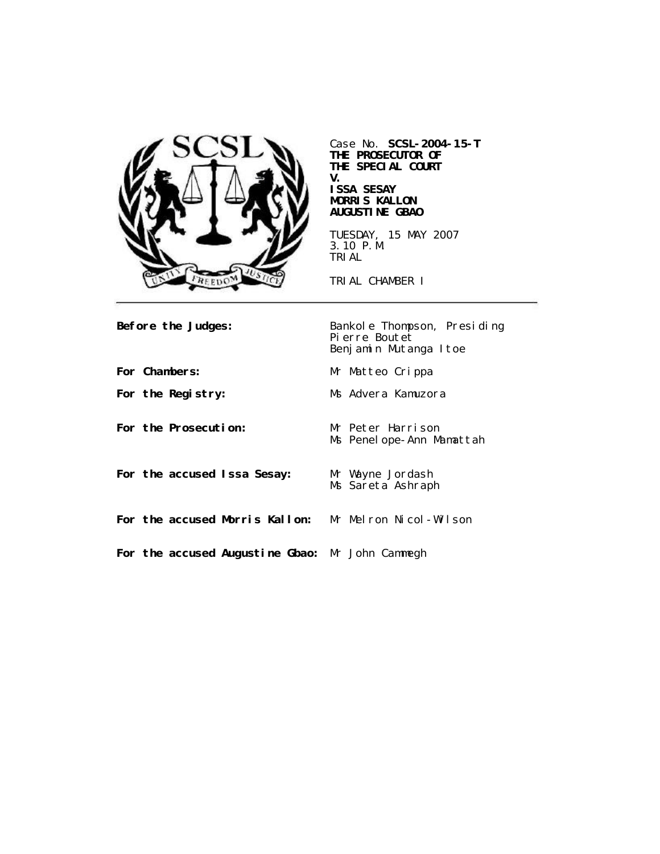

Case No. **SCSL-2004-15-T THE PROSECUTOR OF THE SPECIAL COURT V.**

#### **ISSA SESAY MORRIS KALLON AUGUSTINE GBAO**

TUESDAY, 15 MAY 2007 3.10 P.M. TRIAL

TRIAL CHAMBER I

| <b>Before the Judges:</b>                                    | Bankol e Thompson, Presiding<br>Pierre Boutet<br>Benjamin Mutanga Itoe |
|--------------------------------------------------------------|------------------------------------------------------------------------|
| <b>For Chambers:</b>                                         | Mr Matteo Crippa                                                       |
| For the Registry:                                            | Ms Advera Kamuzora                                                     |
| For the Prosecution:                                         | Mr Peter Harrison<br>Ms Penelope-Ann Mamattah                          |
| For the accused Issa Sesay:                                  | Mr Wayne Jordash<br>Ms Sareta Ashraph                                  |
| <b>For the accused Morris Kallon:</b> Mr Melron Nicol-Wilson |                                                                        |
| For the accused Augustine Gbao: Mr John Cammegh              |                                                                        |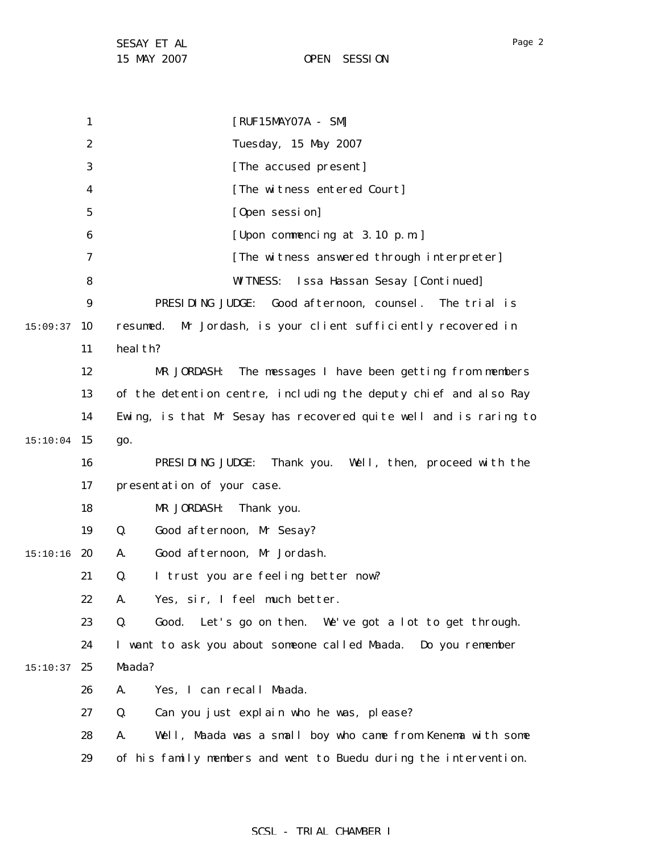|          | 1                | $[RUF15MAYO7A - SM]$                                              |
|----------|------------------|-------------------------------------------------------------------|
|          | $\boldsymbol{2}$ | Tuesday, 15 May 2007                                              |
|          | 3                | [The accused present]                                             |
|          | 4                | [The witness entered Court]                                       |
|          | 5                | [Open session]                                                    |
|          | 6                | [Upon commencing at 3.10 p.m.]                                    |
|          | 7                | [The witness answered through interpreter]                        |
|          | 8                | Issa Hassan Sesay [Continued]<br><b>WITNESS:</b>                  |
|          | $\boldsymbol{9}$ | PRESIDING JUDGE:<br>Good afternoon, counsel.<br>The trial is      |
| 15:09:37 | 10               | Mr Jordash, is your client sufficiently recovered in<br>resumed.  |
|          | 11               | heal th?                                                          |
|          | 12               | The messages I have been getting from members<br>MR JORDASH:      |
|          | 13               | of the detention centre, including the deputy chief and also Ray  |
|          | 14               | Ewing, is that Mr Sesay has recovered quite well and is raring to |
| 15:10:04 | 15               | go.                                                               |
|          | 16               | PRESIDING JUDGE:<br>Thank you. Well, then, proceed with the       |
|          | 17               | presentation of your case.                                        |
|          | 18               | MR JORDASH:<br>Thank you.                                         |
|          | 19               | Q.<br>Good afternoon, Mr Sesay?                                   |
| 15:10:16 | 20               | Good afternoon, Mr Jordash.<br>A.                                 |
|          | 21               | I trust you are feeling better now?<br>Q.                         |
|          | 22               | Yes, sir, I feel much better.<br>А.                               |
|          | 23               | Good. Let's go on then. We've got a lot to get through.<br>Q.     |
|          | 24               | I want to ask you about someone called Maada. Do you remember     |
| 15:10:37 | 25               | Maada?                                                            |
|          | 26               | Yes, I can recall Maada.<br>A.                                    |
|          | 27               | Can you just explain who he was, please?<br>Q.                    |
|          | 28               | Well, Maada was a small boy who came from Kenema with some<br>A.  |
|          | 29               | of his family members and went to Buedu during the intervention.  |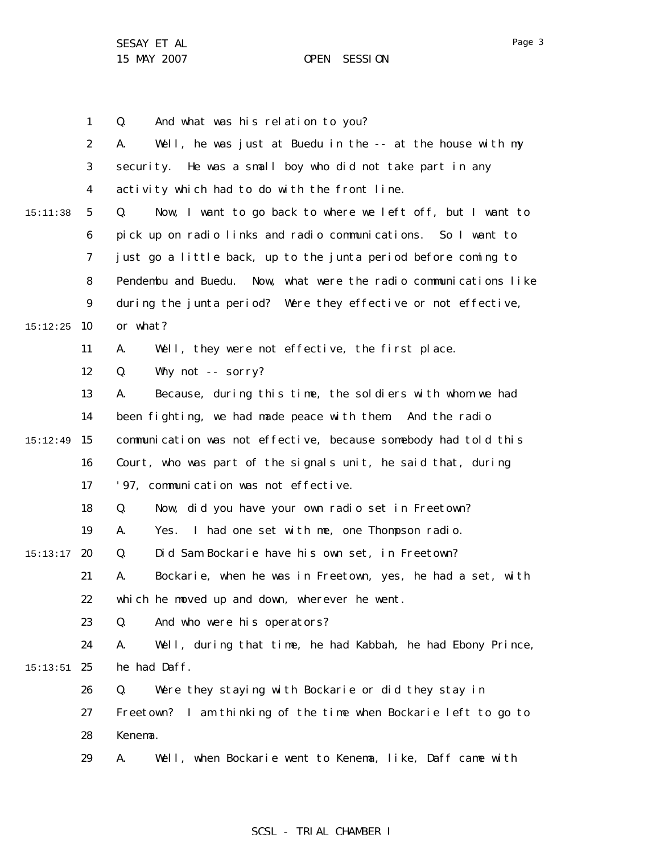Page 3

|          | $\mathbf{1}$     | And what was his relation to you?<br>Q.                           |
|----------|------------------|-------------------------------------------------------------------|
|          | $\boldsymbol{2}$ | Well, he was just at Buedu in the -- at the house with my<br>A.   |
|          | 3                | He was a small boy who did not take part in any<br>security.      |
|          | 4                | activity which had to do with the front line.                     |
| 15:11:38 | $\mathbf{5}$     | Now, I want to go back to where we left off, but I want to<br>Q.  |
|          | $\boldsymbol{6}$ | pick up on radio links and radio communications. So I want to     |
|          | 7                | just go a little back, up to the junta period before coming to    |
|          | 8                | Pendembu and Buedu. Now, what were the radio communications like  |
|          | $\boldsymbol{9}$ | during the junta period? Were they effective or not effective,    |
| 15:12:25 | 10               | or what?                                                          |
|          | 11               | Well, they were not effective, the first place.<br>A.             |
|          | 12               | Why not -- sorry?<br>Q.                                           |
|          | 13               | Because, during this time, the soldiers with whom we had<br>A.    |
|          | 14               | been fighting, we had made peace with them. And the radio         |
| 15:12:49 | 15               | communication was not effective, because somebody had told this   |
|          | 16               | Court, who was part of the signals unit, he said that, during     |
|          | 17               | '97, communication was not effective.                             |
|          | 18               | Now, did you have your own radio set in Freetown?<br>Q.           |
|          | 19               | I had one set with me, one Thompson radio.<br>Yes.<br>A.          |
| 15:13:17 | 20               | Did Sam Bockarie have his own set, in Freetown?<br>Q.             |
|          | 21               | Bockarie, when he was in Freetown, yes, he had a set, with<br>A.  |
|          | 22               | which he moved up and down, wherever he went.                     |
|          | 23               | And who were his operators?<br>Q.                                 |
|          | 24               | Well, during that time, he had Kabbah, he had Ebony Prince,<br>A. |
| 15:13:51 | 25               | he had Daff.                                                      |
|          | 26               | Q.<br>Were they staying with Bockarie or did they stay in         |
|          | 27               | Freetown? I am thinking of the time when Bockarie left to go to   |
|          | 28               | Kenema.                                                           |
|          | 29               | Well, when Bockarie went to Kenema, like, Daff came with<br>A.    |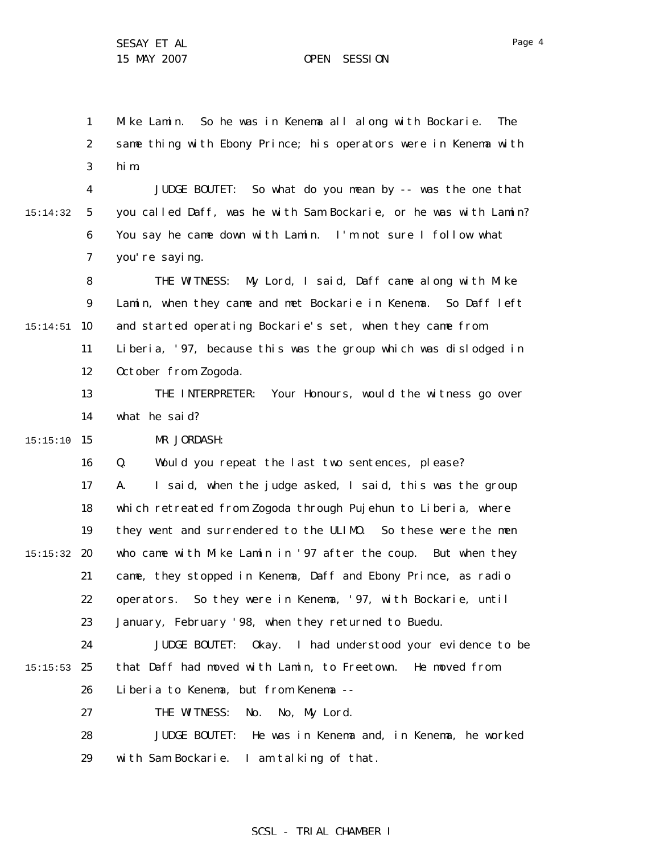1 2 3 Mike Lamin. So he was in Kenema all along with Bockarie. The same thing with Ebony Prince; his operators were in Kenema with him.

4 5 6 7 15:14:32 JUDGE BOUTET: So what do you mean by -- was the one that you called Daff, was he with Sam Bockarie, or he was with Lamin? You say he came down with Lamin. I'm not sure I follow what you're saying.

8 9 15:14:51 10 11 12 THE WITNESS: My Lord, I said, Daff came along with Mike Lamin, when they came and met Bockarie in Kenema. So Daff left and started operating Bockarie's set, when they came from Liberia, '97, because this was the group which was dislodged in October from Zogoda.

> 13 14 THE INTERPRETER: Your Honours, would the witness go over what he said?

15 15:15:10

16

MR JORDASH:

Q. Would you repeat the last two sentences, please?

17 18 19  $15:15:32$  20 21 22 23 A. I said, when the judge asked, I said, this was the group which retreated from Zogoda through Pujehun to Liberia, where they went and surrendered to the ULIMO. So these were the men who came with Mike Lamin in '97 after the coup. But when they came, they stopped in Kenema, Daff and Ebony Prince, as radio operators. So they were in Kenema, '97, with Bockarie, until January, February '98, when they returned to Buedu.

24  $15:15:53$  25 26 JUDGE BOUTET: Okay. I had understood your evidence to be that Daff had moved with Lamin, to Freetown. He moved from Liberia to Kenema, but from Kenema --

> 27 THE WITNESS: No. No, My Lord.

28 29 JUDGE BOUTET: He was in Kenema and, in Kenema, he worked with Sam Bockarie. I am talking of that.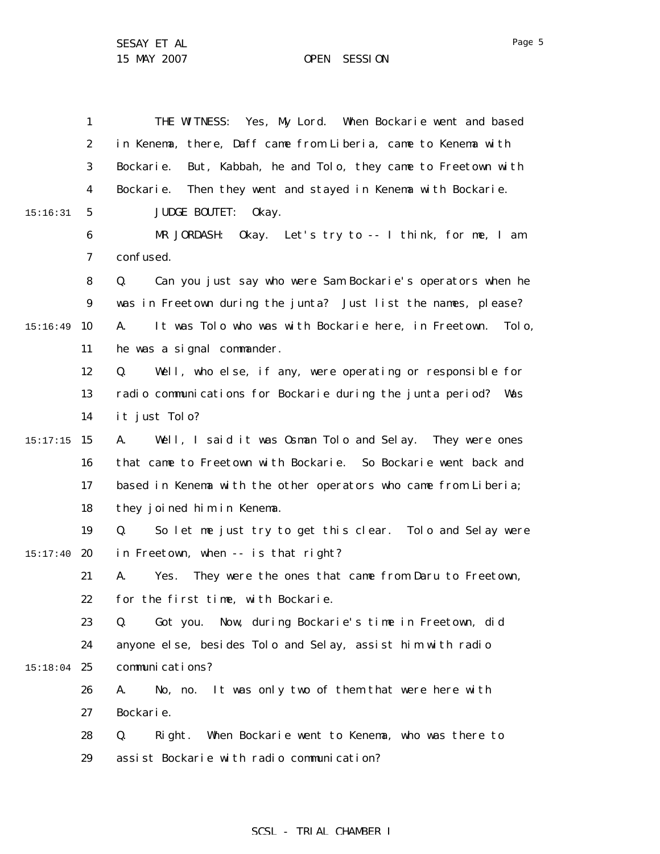1 2 3 4 5 6 7 8 9 15:16:49 10 11 12 13 14 15 15:17:15 16 17 18 19  $15:17:40$  20 21 22 23 24  $15:18:04$  25 26 27 28 29 15:16:31 THE WITNESS: Yes, My Lord. When Bockarie went and based in Kenema, there, Daff came from Liberia, came to Kenema with Bockarie. But, Kabbah, he and Tolo, they came to Freetown with Bockarie. Then they went and stayed in Kenema with Bockarie. JUDGE BOUTET: Okay. MR JORDASH: Okay. Let's try to -- I think, for me, I am confused. Q. Can you just say who were Sam Bockarie's operators when he was in Freetown during the junta? Just list the names, please? A. It was Tolo who was with Bockarie here, in Freetown. Tolo, he was a signal commander. Q. Well, who else, if any, were operating or responsible for radio communications for Bockarie during the junta period? Was it just Tolo? A. Well, I said it was Osman Tolo and Selay. They were ones that came to Freetown with Bockarie. So Bockarie went back and based in Kenema with the other operators who came from Liberia; they joined him in Kenema. Q. So let me just try to get this clear. Tolo and Selay were in Freetown, when -- is that right? A. Yes. They were the ones that came from Daru to Freetown, for the first time, with Bockarie. Q. Got you. Now, during Bockarie's time in Freetown, did anyone else, besides Tolo and Selay, assist him with radio communications? A. No, no. It was only two of them that were here with Bockarie. Q. Right. When Bockarie went to Kenema, who was there to assist Bockarie with radio communication?

## SCSL - TRIAL CHAMBER I

Page 5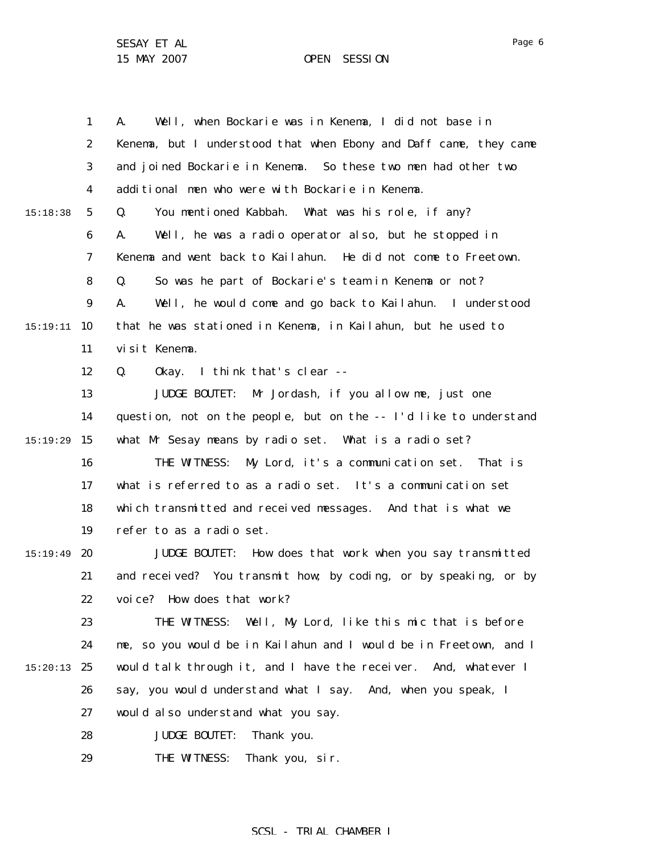1 2 3 4 5 6 7 8 9 15:19:11 **10** 11 12 13 14 15 15:19:29 16 17 18 19 15:19:49 **20** 21 22 23 24  $15:20:13$  25 26 27 28 29 15:18:38 A. Well, when Bockarie was in Kenema, I did not base in Kenema, but I understood that when Ebony and Daff came, they came and joined Bockarie in Kenema. So these two men had other two additional men who were with Bockarie in Kenema. Q. You mentioned Kabbah. What was his role, if any? A. Well, he was a radio operator also, but he stopped in Kenema and went back to Kailahun. He did not come to Freetown. Q. So was he part of Bockarie's team in Kenema or not? A. Well, he would come and go back to Kailahun. I understood that he was stationed in Kenema, in Kailahun, but he used to visit Kenema. Q. Okay. I think that's clear -- JUDGE BOUTET: Mr Jordash, if you allow me, just one question, not on the people, but on the -- I'd like to understand what Mr Sesay means by radio set. What is a radio set? THE WITNESS: My Lord, it's a communication set. That is what is referred to as a radio set. It's a communication set which transmitted and received messages. And that is what we refer to as a radio set. JUDGE BOUTET: How does that work when you say transmitted and received? You transmit how; by coding, or by speaking, or by voice? How does that work? THE WITNESS: Well, My Lord, like this mic that is before me, so you would be in Kailahun and I would be in Freetown, and I would talk through it, and I have the receiver. And, whatever I say, you would understand what I say. And, when you speak, I would also understand what you say. JUDGE BOUTET: Thank you. THE WITNESS: Thank you, sir.

#### Page 6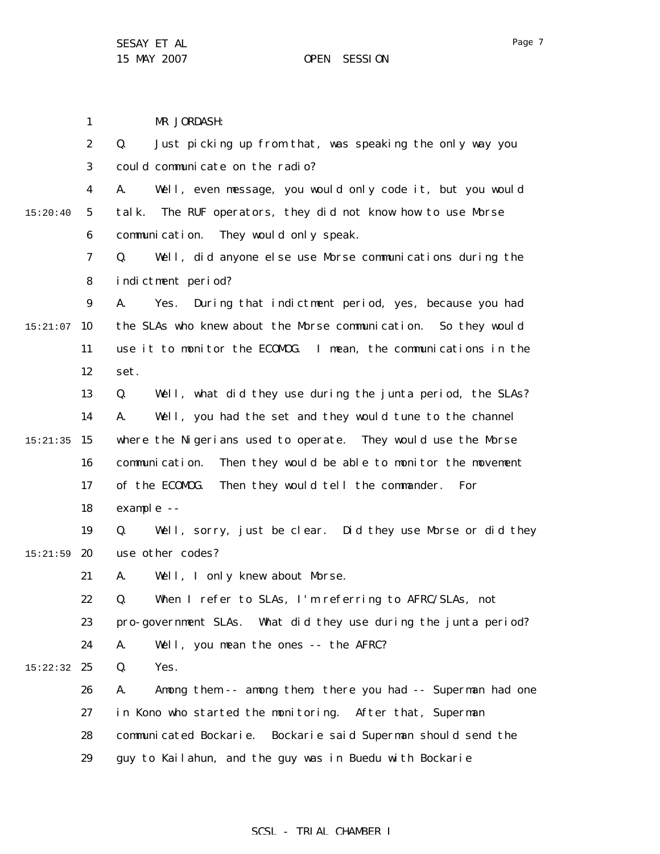MR JORDASH:

1

Page 7

2 3 4 5 6 7 8 9  $15:21:07$  10 11 12 13 14 15 15:21:35 16 17 18 19 15:21:59 **20** 21 22 23 24 15:22:32 25 26 27 28 29 15:20:40 Q. Just picking up from that, was speaking the only way you could communicate on the radio? A. Well, even message, you would only code it, but you would talk. The RUF operators, they did not know how to use Morse communication. They would only speak. Q. Well, did anyone else use Morse communications during the indictment period? A. Yes. During that indictment period, yes, because you had the SLAs who knew about the Morse communication. So they would use it to monitor the ECOMOG. I mean, the communications in the set. Q. Well, what did they use during the junta period, the SLAs? A. Well, you had the set and they would tune to the channel where the Nigerians used to operate. They would use the Morse communication. Then they would be able to monitor the movement of the ECOMOG. Then they would tell the commander. For example -- Q. Well, sorry, just be clear. Did they use Morse or did they use other codes? A. Well, I only knew about Morse. Q. When I refer to SLAs, I'm referring to AFRC/SLAs, not pro-government SLAs. What did they use during the junta period? A. Well, you mean the ones -- the AFRC? Q. Yes. A. Among them -- among them, there you had -- Superman had one in Kono who started the monitoring. After that, Superman communicated Bockarie. Bockarie said Superman should send the guy to Kailahun, and the guy was in Buedu with Bockarie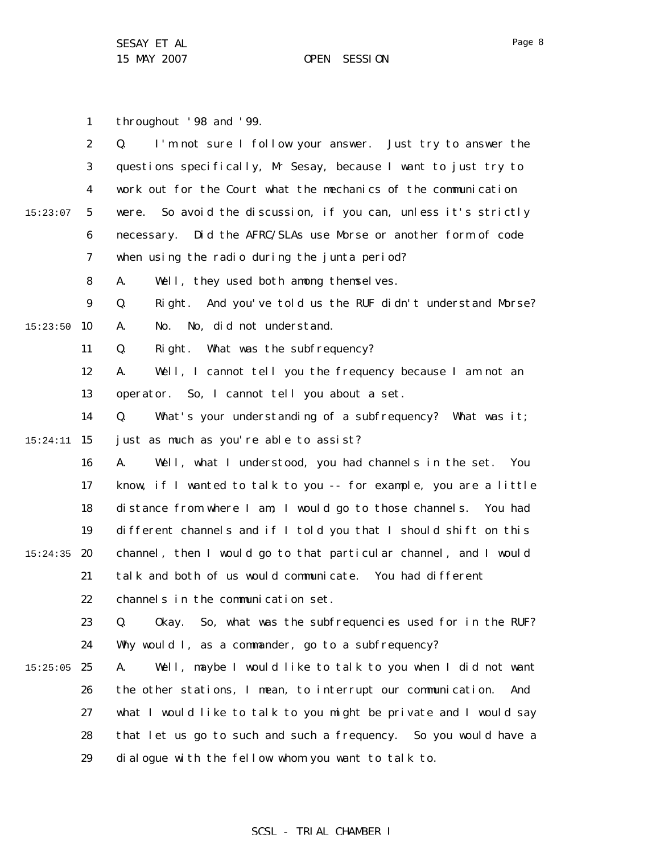Page 8

1 throughout '98 and '99.

|          | $\boldsymbol{2}$ | Q.<br>I'm not sure I follow your answer. Just try to answer the     |
|----------|------------------|---------------------------------------------------------------------|
|          | $\boldsymbol{3}$ | questions specifically, Mr Sesay, because I want to just try to     |
|          | $\boldsymbol{4}$ | work out for the Court what the mechanics of the communication      |
| 15:23:07 | $\mathbf{5}$     | So avoid the discussion, if you can, unless it's strictly<br>were.  |
|          | 6                | Did the AFRC/SLAs use Morse or another form of code<br>necessary.   |
|          | 7                | when using the radio during the junta period?                       |
|          | 8                | Well, they used both among themselves.<br>A.                        |
|          | $\boldsymbol{9}$ | And you've told us the RUF didn't understand Morse?<br>Q.<br>Right. |
| 15:23:50 | 10               | No, did not understand.<br>A.<br>No.                                |
|          | 11               | What was the subfrequency?<br>Q.<br>Right.                          |
|          | 12               | Well, I cannot tell you the frequency because I am not an<br>A.     |
|          | 13               | operator. So, I cannot tell you about a set.                        |
|          | 14               | What's your understanding of a subfrequency? What was it;<br>Q.     |
| 15:24:11 | 15               | just as much as you're able to assist?                              |
|          | 16               | Well, what I understood, you had channels in the set.<br>A.<br>You  |
|          | 17               | know, if I wanted to talk to you -- for example, you are a little   |
|          | 18               | distance from where I am; I would go to those channels. You had     |
|          | 19               | different channels and if I told you that I should shift on this    |
| 15:24:35 | 20               | channel, then I would go to that particular channel, and I would    |
|          | 21               | talk and both of us would communicate. You had different            |
|          | 22               | channels in the communication set.                                  |
|          | 23               | Q. Okay. So, what was the subfrequencies used for in the RUF?       |
|          | 24               | Why would I, as a commander, go to a subfrequency?                  |
| 15:25:05 | 25               | Well, maybe I would like to talk to you when I did not want<br>A.   |
|          | 26               | the other stations, I mean, to interrupt our communication.<br>And  |
|          | 27               | what I would like to talk to you might be private and I would say   |
|          | 28               | that let us go to such and such a frequency. So you would have a    |
|          | 29               | dialogue with the fellow whom you want to talk to.                  |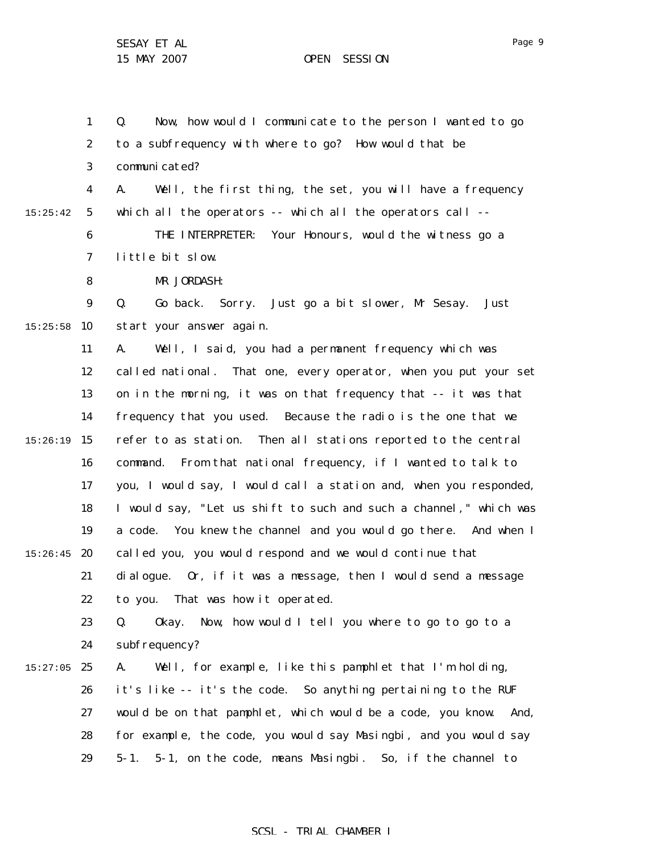1

Q. Now, how would I communicate to the person I wanted to go

2 3 4 5 6 7 8 9  $15:25:58$  10 11 12 13 14 15 15:26:19 16 17 18 19  $15:26:45$  20 21 22 23 24  $15:27:05$  25 26 27 28 15:25:42 to a subfrequency with where to go? How would that be communicated? A. Well, the first thing, the set, you will have a frequency which all the operators -- which all the operators call -- THE INTERPRETER: Your Honours, would the witness go a little bit slow. MR JORDASH: Q. Go back. Sorry. Just go a bit slower, Mr Sesay. Just start your answer again. A. Well, I said, you had a permanent frequency which was called national. That one, every operator, when you put your set on in the morning, it was on that frequency that -- it was that frequency that you used. Because the radio is the one that we refer to as station. Then all stations reported to the central command. From that national frequency, if I wanted to talk to you, I would say, I would call a station and, when you responded, I would say, "Let us shift to such and such a channel," which was a code. You knew the channel and you would go there. And when I called you, you would respond and we would continue that dialogue. Or, if it was a message, then I would send a message to you. That was how it operated. Q. Okay. Now, how would I tell you where to go to go to a subfrequency? A. Well, for example, like this pamphlet that I'm holding, it's like -- it's the code. So anything pertaining to the RUF would be on that pamphlet, which would be a code, you know. And, for example, the code, you would say Masingbi, and you would say

> 29 5-1. 5-1, on the code, means Masingbi. So, if the channel to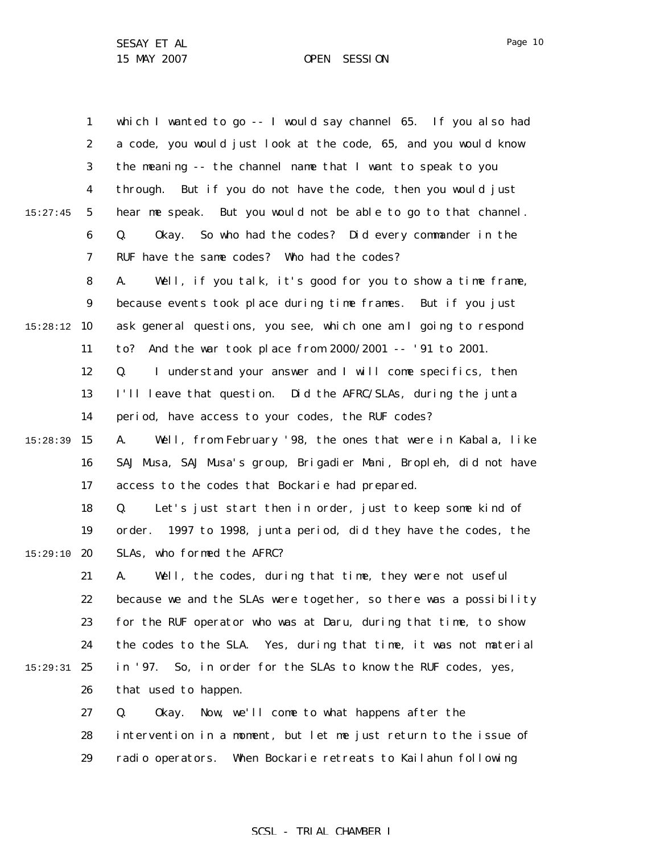which I wanted to go -- I would say channel 65. If you also had a code, you would just look at the code, 65, and you would know the meaning -- the channel name that I want to speak to you through. But if you do not have the code, then you would just hear me speak. But you would not be able to go to that channel. Q. Okay. So who had the codes? Did every commander in the RUF have the same codes? Who had the codes? A. Well, if you talk, it's good for you to show a time frame, because events took place during time frames. But if you just ask general questions, you see, which one am I going to respond to? And the war took place from 2000/2001 -- '91 to 2001.

12 13 14 Q. I understand your answer and I will come specifics, then I'll leave that question. Did the AFRC/SLAs, during the junta period, have access to your codes, the RUF codes?

15:28:39 15 16 17 A. Well, from February '98, the ones that were in Kabala, like SAJ Musa, SAJ Musa's group, Brigadier Mani, Bropleh, did not have access to the codes that Bockarie had prepared.

18 19 15:29:10 **20** Q. Let's just start then in order, just to keep some kind of order. 1997 to 1998, junta period, did they have the codes, the SLAs, who formed the AFRC?

21 22 23 24 15:29:31 25 26 A. Well, the codes, during that time, they were not useful because we and the SLAs were together, so there was a possibility for the RUF operator who was at Daru, during that time, to show the codes to the SLA. Yes, during that time, it was not material in '97. So, in order for the SLAs to know the RUF codes, yes, that used to happen.

> 27 28 29 Q. Okay. Now, we'll come to what happens after the intervention in a moment, but let me just return to the issue of radio operators. When Bockarie retreats to Kailahun following

## SCSL - TRIAL CHAMBER I

15:27:45

1

2

3

4

5

6

7

8

9

11

15:28:12 10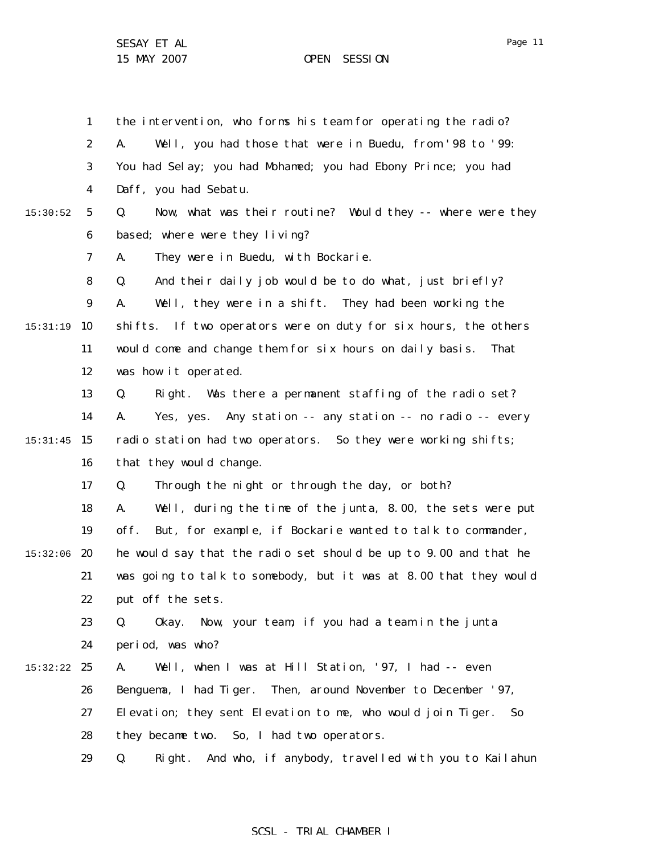1 2 3 4 5 6 7 8 9 15:31:19 10 11 12 13 14 15 15:31:45 16 17 18 19  $15:32:06$  20 21 22 23 24 15:32:22 25 26 27 28 29 15:30:52 the intervention, who forms his team for operating the radio? A. Well, you had those that were in Buedu, from '98 to '99: You had Selay; you had Mohamed; you had Ebony Prince; you had Daff, you had Sebatu. Q. Now, what was their routine? Would they -- where were they based; where were they living? A. They were in Buedu, with Bockarie. Q. And their daily job would be to do what, just briefly? A. Well, they were in a shift. They had been working the shifts. If two operators were on duty for six hours, the others would come and change them for six hours on daily basis. That was how it operated. Q. Right. Was there a permanent staffing of the radio set? A. Yes, yes. Any station -- any station -- no radio -- every radio station had two operators. So they were working shifts; that they would change. Q. Through the night or through the day, or both? A. Well, during the time of the junta, 8.00, the sets were put off. But, for example, if Bockarie wanted to talk to commander, he would say that the radio set should be up to 9.00 and that he was going to talk to somebody, but it was at 8.00 that they would put off the sets. Q. Okay. Now, your team, if you had a team in the junta period, was who? A. Well, when I was at Hill Station, '97, I had -- even Benguema, I had Tiger. Then, around November to December '97, Elevation; they sent Elevation to me, who would join Tiger. So they became two. So, I had two operators. Q. Right. And who, if anybody, travelled with you to Kailahun

Page 11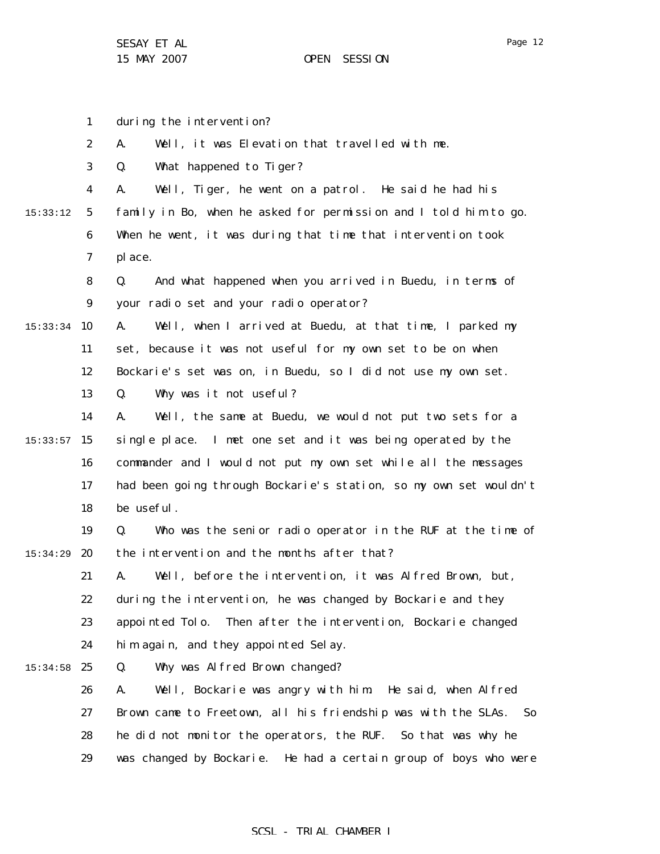during the intervention?

1

2 3 4 5 6 7 8 9  $15:33:34$  10 11 12 13 14  $15:33:57$  15 16 17 18 19 20 21 22 23 24  $15:34:58$  25 26 27 28 29 15:33:12 15:34:29 A. Well, it was Elevation that travelled with me. Q. What happened to Tiger? A. Well, Tiger, he went on a patrol. He said he had his family in Bo, when he asked for permission and I told him to go. When he went, it was during that time that intervention took place. Q. And what happened when you arrived in Buedu, in terms of your radio set and your radio operator? A. Well, when I arrived at Buedu, at that time, I parked my set, because it was not useful for my own set to be on when Bockarie's set was on, in Buedu, so I did not use my own set. Q. Why was it not useful? A. Well, the same at Buedu, we would not put two sets for a single place. I met one set and it was being operated by the commander and I would not put my own set while all the messages had been going through Bockarie's station, so my own set wouldn't be useful. Q. Who was the senior radio operator in the RUF at the time of the intervention and the months after that? A. Well, before the intervention, it was Alfred Brown, but, during the intervention, he was changed by Bockarie and they appointed Tolo. Then after the intervention, Bockarie changed him again, and they appointed Selay. Q. Why was Alfred Brown changed? A. Well, Bockarie was angry with him. He said, when Alfred Brown came to Freetown, all his friendship was with the SLAs. So he did not monitor the operators, the RUF. So that was why he was changed by Bockarie. He had a certain group of boys who were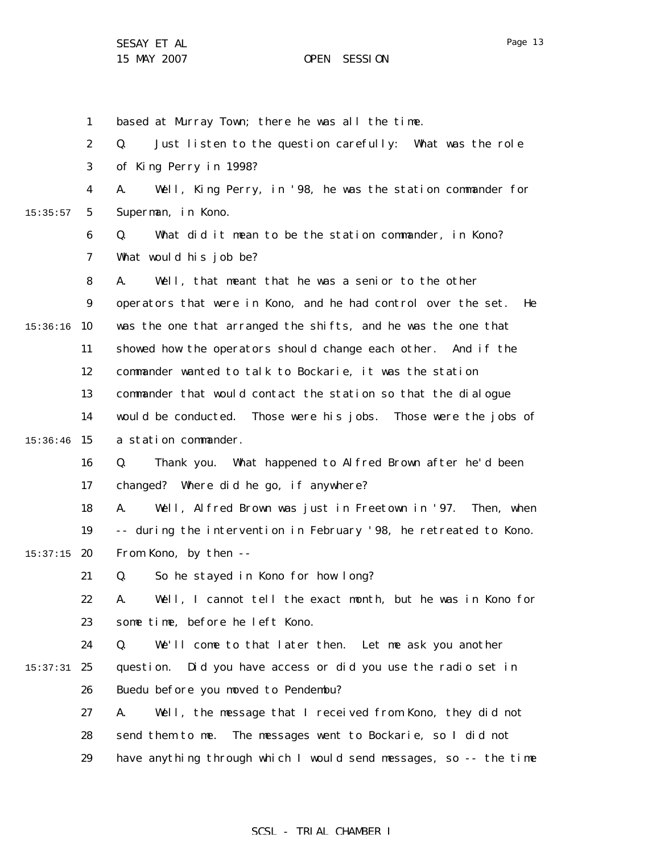Page 13

1 2 3 4 5 6 7 8 9  $15:36:16$  10 11 12 13 14 15:36:46 15 16 17 18 19  $15:37:15$  20 21 22 23 24 15:37:31 25 26 27 28 29 15:35:57 based at Murray Town; there he was all the time. Q. Just listen to the question carefully: What was the role of King Perry in 1998? A. Well, King Perry, in '98, he was the station commander for Superman, in Kono. Q. What did it mean to be the station commander, in Kono? What would his job be? A. Well, that meant that he was a senior to the other operators that were in Kono, and he had control over the set. He was the one that arranged the shifts, and he was the one that showed how the operators should change each other. And if the commander wanted to talk to Bockarie, it was the station commander that would contact the station so that the dialogue would be conducted. Those were his jobs. Those were the jobs of a station commander. Q. Thank you. What happened to Alfred Brown after he'd been changed? Where did he go, if anywhere? A. Well, Alfred Brown was just in Freetown in '97. Then, when -- during the intervention in February '98, he retreated to Kono. From Kono, by then -- Q. So he stayed in Kono for how long? A. Well, I cannot tell the exact month, but he was in Kono for some time, before he left Kono. Q. We'll come to that later then. Let me ask you another question. Did you have access or did you use the radio set in Buedu before you moved to Pendembu? A. Well, the message that I received from Kono, they did not send them to me. The messages went to Bockarie, so I did not have anything through which I would send messages, so -- the time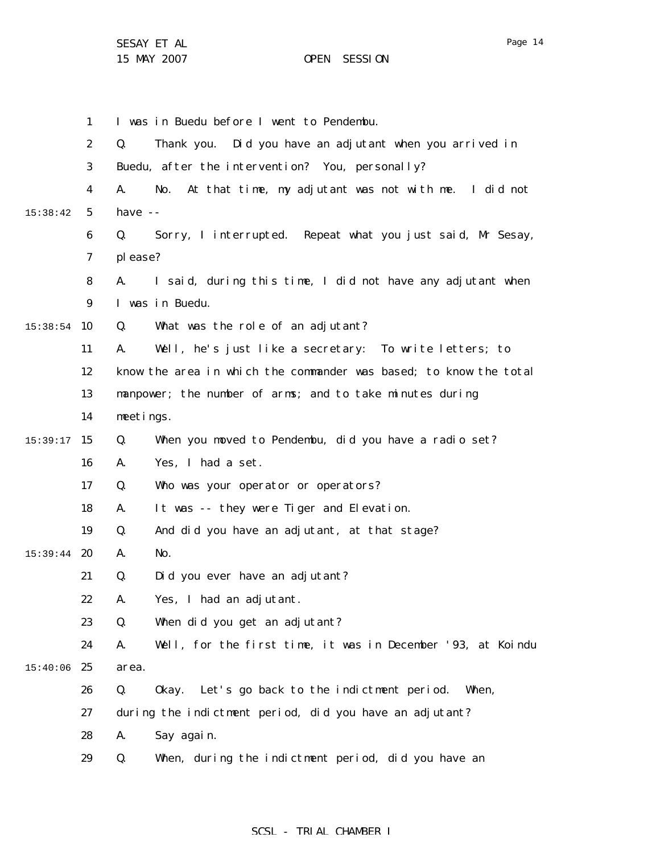|          | $\mathbf{1}$     |           | I was in Buedu before I went to Pendembu.                         |
|----------|------------------|-----------|-------------------------------------------------------------------|
|          | $\boldsymbol{2}$ | Q.        | Did you have an adjutant when you arrived in<br>Thank you.        |
|          | 3                |           | Buedu, after the intervention? You, personally?                   |
|          | 4                | A.        | At that time, my adjutant was not with me. I did not<br>No.       |
| 15:38:42 | $5\phantom{.0}$  | have --   |                                                                   |
|          | 6                | Q.        | Sorry, I interrupted. Repeat what you just said, Mr Sesay,        |
|          | 7                | please?   |                                                                   |
|          | 8                | A.        | I said, during this time, I did not have any adjutant when        |
|          | $\boldsymbol{9}$ |           | I was in Buedu.                                                   |
| 15:38:54 | <b>10</b>        | Q.        | What was the role of an adjutant?                                 |
|          | 11               | A.        | Well, he's just like a secretary: To write letters; to            |
|          | 12               |           | know the area in which the commander was based; to know the total |
|          | 13               |           | manpower; the number of arms; and to take minutes during          |
|          | 14               | meetings. |                                                                   |
| 15:39:17 | 15               | Q.        | When you moved to Pendembu, did you have a radio set?             |
|          | 16               | A.        | Yes, I had a set.                                                 |
|          | 17               | Q.        | Who was your operator or operators?                               |
|          | 18               | A.        | It was -- they were Tiger and Elevation.                          |
|          | 19               | Q.        | And did you have an adjutant, at that stage?                      |
| 15:39:44 | 20               | A.        | No.                                                               |
|          | 21               | Q.        | Did you ever have an adjutant?                                    |
|          | 22               | A.        | Yes, I had an adjutant.                                           |
|          | 23               | Q.        | When did you get an adjutant?                                     |
|          | 24               | A.        | Well, for the first time, it was in December '93, at Koindu       |
| 15:40:06 | 25               | area.     |                                                                   |
|          | 26               | Q.        | Okay. Let's go back to the indictment period.<br>When,            |
|          | 27               |           | during the indictment period, did you have an adjutant?           |
|          | 28               | A.        | Say again.                                                        |
|          | 29               | Q.        | When, during the indictment period, did you have an               |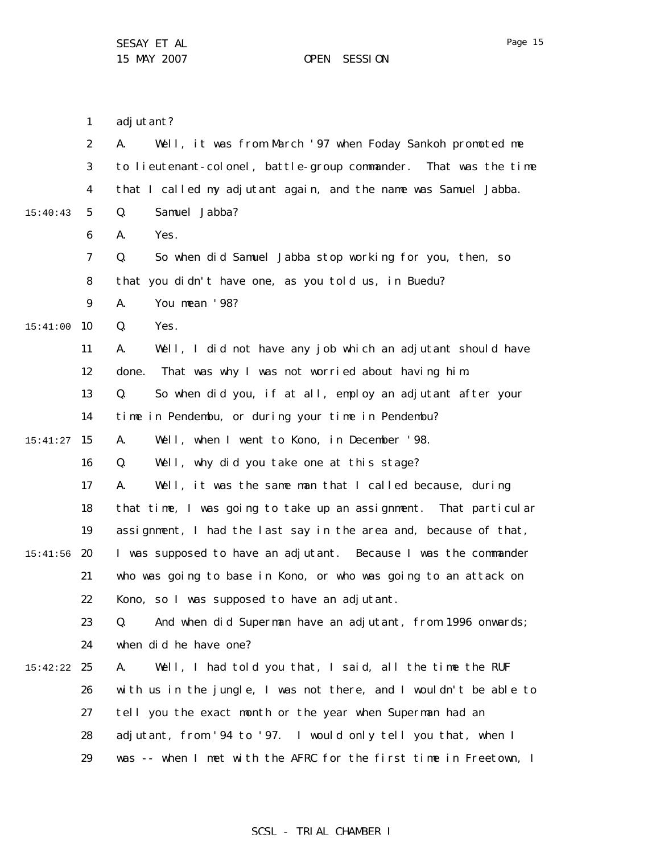|          | $\mathbf{1}$     | adjutant?                                                         |
|----------|------------------|-------------------------------------------------------------------|
|          | $\boldsymbol{2}$ | Well, it was from March '97 when Foday Sankoh promoted me<br>A.   |
|          | $\boldsymbol{3}$ | to lieutenant-colonel, battle-group commander. That was the time  |
|          | 4                | that I called my adjutant again, and the name was Samuel Jabba.   |
| 15:40:43 | $5\phantom{.0}$  | Samuel Jabba?<br>Q.                                               |
|          | 6                | Yes.<br>A.                                                        |
|          | 7                | Q.<br>So when did Samuel Jabba stop working for you, then, so     |
|          | 8                | that you didn't have one, as you told us, in Buedu?               |
|          | 9                | You mean '98?<br>A.                                               |
| 15:41:00 | 10               | Yes.<br>Q.                                                        |
|          | 11               | Well, I did not have any job which an adjutant should have<br>A.  |
|          | 12               | That was why I was not worried about having him.<br>done.         |
|          | 13               | Q.<br>So when did you, if at all, employ an adjutant after your   |
|          | 14               | time in Pendembu, or during your time in Pendembu?                |
| 15:41:27 | 15               | Well, when I went to Kono, in December '98.<br>A.                 |
|          | 16               | Q.<br>Well, why did you take one at this stage?                   |
|          | 17               | Well, it was the same man that I called because, during<br>A.     |
|          | 18               | that time, I was going to take up an assignment. That particular  |
|          | 19               | assignment, I had the last say in the area and, because of that,  |
| 15:41:56 | 20               | I was supposed to have an adjutant. Because I was the commander   |
|          | 21               | who was going to base in Kono, or who was going to an attack on   |
|          | 22               | Kono, so I was supposed to have an adjutant.                      |
|          | 23               | And when did Superman have an adjutant, from 1996 onwards;<br>Q.  |
|          | 24               | when did he have one?                                             |
| 15:42:22 | 25               | A.<br>Well, I had told you that, I said, all the time the RUF     |
|          | 26               | with us in the jungle, I was not there, and I wouldn't be able to |
|          | 27               | tell you the exact month or the year when Superman had an         |
|          | 28               | adjutant, from '94 to '97. I would only tell you that, when I     |
|          | 29               | was -- when I met with the AFRC for the first time in Freetown, I |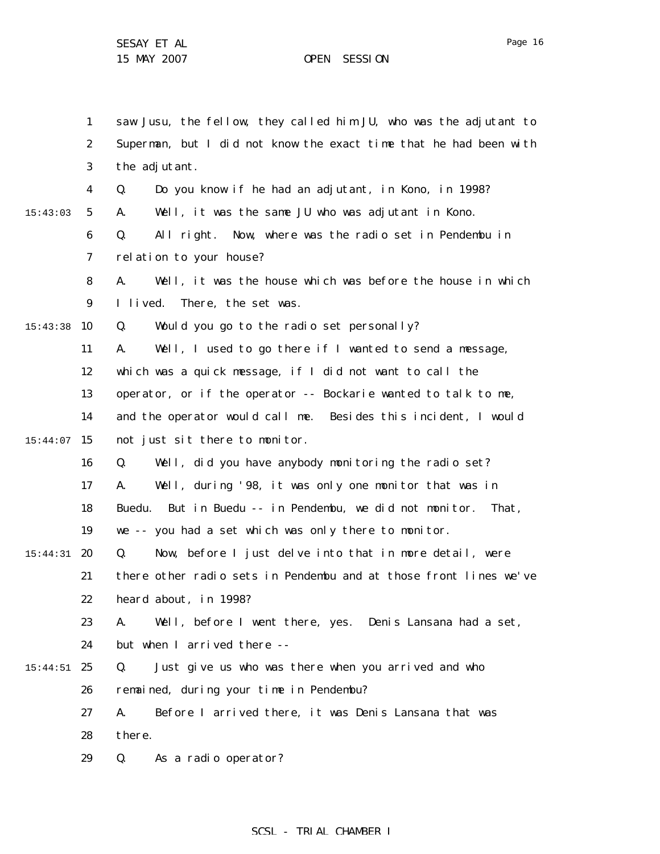|          | $\mathbf{1}$     | saw Jusu, the fellow, they called him JU, who was the adjutant to   |
|----------|------------------|---------------------------------------------------------------------|
|          | $\boldsymbol{2}$ | Superman, but I did not know the exact time that he had been with   |
|          | 3                | the adjutant.                                                       |
|          | $\boldsymbol{4}$ | Do you know if he had an adjutant, in Kono, in 1998?<br>Q.          |
| 15:43:03 | $5\phantom{.0}$  | Well, it was the same JU who was adjutant in Kono.<br>A.            |
|          | 6                | Q.<br>All right. Now, where was the radio set in Pendembu in        |
|          | 7                | relation to your house?                                             |
|          | 8                | Well, it was the house which was before the house in which<br>A.    |
|          | $\boldsymbol{9}$ | I lived.<br>There, the set was.                                     |
| 15:43:38 | 10               | Would you go to the radio set personally?<br>Q.                     |
|          | 11               | Well, I used to go there if I wanted to send a message,<br>A.       |
|          | 12               | which was a quick message, if I did not want to call the            |
|          | 13               | operator, or if the operator -- Bockarie wanted to talk to me,      |
|          | 14               | and the operator would call me. Besides this incident, I would      |
| 15:44:07 | 15               | not just sit there to monitor.                                      |
|          | 16               | Well, did you have anybody monitoring the radio set?<br>Q.          |
|          | 17               | Well, during '98, it was only one monitor that was in<br>A.         |
|          | 18               | But in Buedu -- in Pendembu, we did not monitor.<br>Buedu.<br>That, |
|          | 19               | we -- you had a set which was only there to monitor.                |
| 15:44:31 | 20               | Now, before I just delve into that in more detail, were<br>Q.       |
|          | 21               | there other radio sets in Pendembu and at those front lines we've   |
|          | $22\,$           | heard about, in 1998?                                               |
|          | 23               | Well, before I went there, yes. Denis Lansana had a set,<br>A.      |
|          | 24               | but when I arrived there --                                         |
| 15:44:51 | 25               | Just give us who was there when you arrived and who<br>Q.           |
|          | 26               | remained, during your time in Pendembu?                             |
|          | 27               | Before I arrived there, it was Denis Lansana that was<br>A.         |
|          | 28               | there.                                                              |
|          | 29               | Q.<br>As a radio operator?                                          |
|          |                  |                                                                     |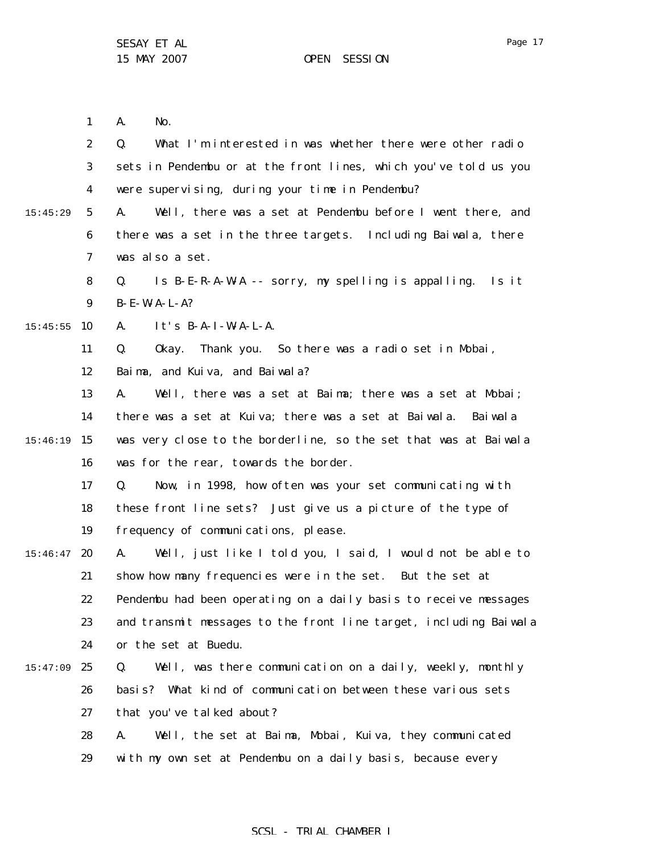Page 17

|          | $\mathbf{1}$     | A.<br>No.                                                          |
|----------|------------------|--------------------------------------------------------------------|
|          | $\boldsymbol{2}$ | What I'm interested in was whether there were other radio<br>Q.    |
|          | 3                | sets in Pendembu or at the front lines, which you've told us you   |
|          | 4                | were supervising, during your time in Pendembu?                    |
| 15:45:29 | $5\phantom{.0}$  | Well, there was a set at Pendembu before I went there, and<br>A.   |
|          | 6                | there was a set in the three targets. Including Baiwala, there     |
|          | 7                | was also a set.                                                    |
|          | 8                | Is B-E-R-A-W-A -- sorry, my spelling is appalling.<br>Q.<br>Is it  |
|          | $\boldsymbol{9}$ | $B - E - W - A - L - A$ ?                                          |
| 15:45:55 | 10               | A.<br>It's $B-A-I-W A-L-A$ .                                       |
|          | 11               | Q.<br>Thank you. So there was a radio set in Mobai,<br>0kay.       |
|          | 12               | Baima, and Kuiva, and Baiwala?                                     |
|          | 13               | A.<br>Well, there was a set at Baima; there was a set at Mobai;    |
|          | 14               | there was a set at Kuiva; there was a set at Baiwala.<br>Bai wal a |
| 15:46:19 | 15               | was very close to the borderline, so the set that was at Baiwala   |
|          | 16               | was for the rear, towards the border.                              |
|          | 17               | Now, in 1998, how often was your set communicating with<br>Q.      |
|          | 18               | these front line sets? Just give us a picture of the type of       |
|          | 19               | frequency of communications, please.                               |
| 15:46:47 | 20               | A.<br>Well, just like I told you, I said, I would not be able to   |
|          | 21               | show how many frequencies were in the set. But the set at          |
|          | 22               | Pendembu had been operating on a daily basis to receive messages   |
|          | 23               | and transmit messages to the front line target, including Baiwala  |
|          | 24               | or the set at Buedu.                                               |
| 15:47:09 | 25               | Well, was there communication on a daily, weekly, monthly<br>Q.    |
|          | 26               | basis? What kind of communication between these various sets       |
|          | 27               | that you've talked about?                                          |
|          | 28               | Well, the set at Baima, Mobai, Kuiva, they communicated<br>A.      |
|          | 29               | with my own set at Pendembu on a daily basis, because every        |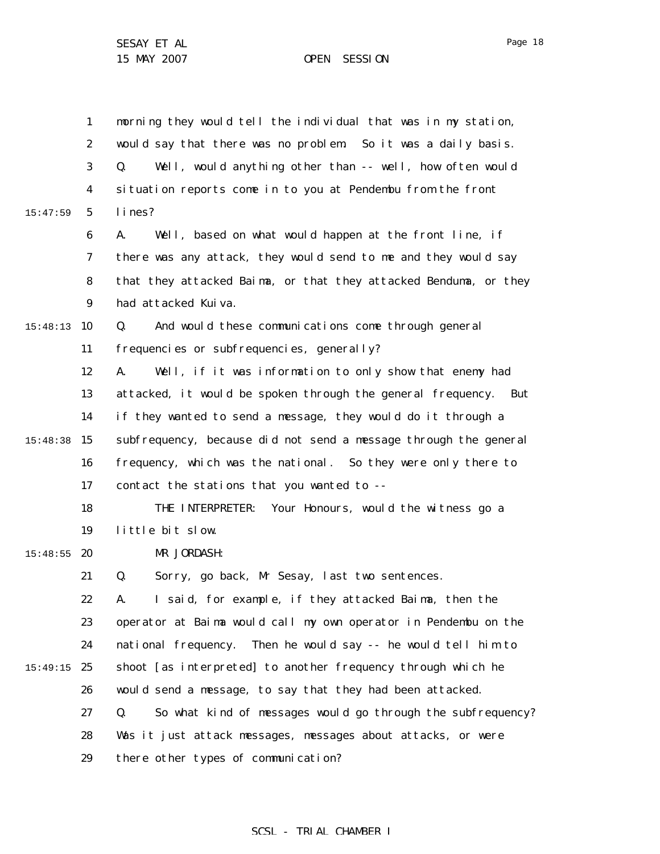1 2 3 4 5 6 7 8 9 15:48:13 10 11 12 13 14 15:48:38 15 16 17 18 19  $15:48:55$  20 21 22 23 24 15:49:15 25 26 27 28 29 15:47:59 morning they would tell the individual that was in my station, would say that there was no problem. So it was a daily basis. Q. Well, would anything other than -- well, how often would situation reports come in to you at Pendembu from the front lines? A. Well, based on what would happen at the front line, if there was any attack, they would send to me and they would say that they attacked Baima, or that they attacked Benduma, or they had attacked Kuiva. Q. And would these communications come through general frequencies or subfrequencies, generally? A. Well, if it was information to only show that enemy had attacked, it would be spoken through the general frequency. But if they wanted to send a message, they would do it through a subfrequency, because did not send a message through the general frequency, which was the national. So they were only there to contact the stations that you wanted to -- THE INTERPRETER: Your Honours, would the witness go a little bit slow. MR JORDASH: Q. Sorry, go back, Mr Sesay, last two sentences. A. I said, for example, if they attacked Baima, then the operator at Baima would call my own operator in Pendembu on the national frequency. Then he would say -- he would tell him to shoot [as interpreted] to another frequency through which he would send a message, to say that they had been attacked. Q. So what kind of messages would go through the subfrequency? Was it just attack messages, messages about attacks, or were there other types of communication?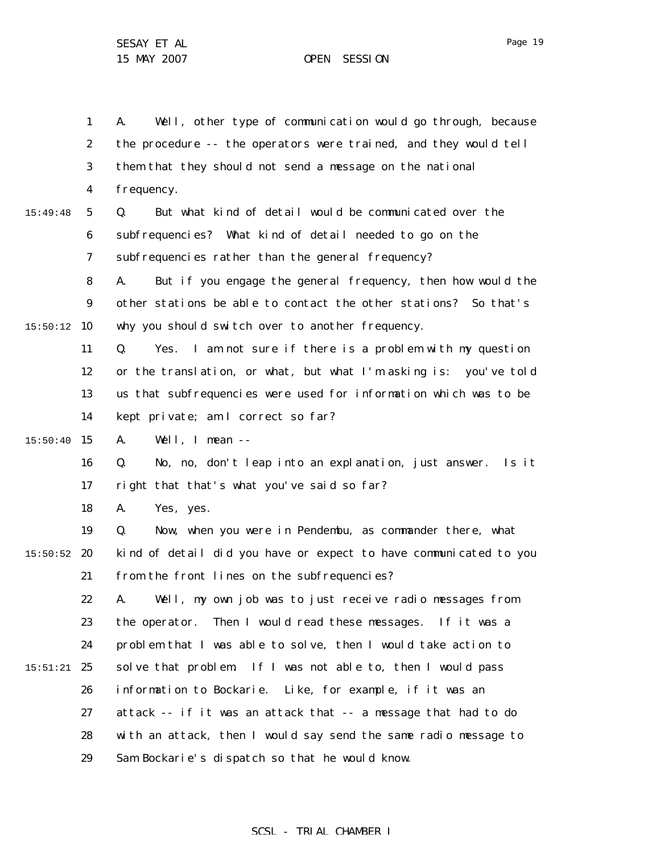Page 19

1 2 3 4 5 6 7 8 9  $15:50:12$  10 11 12 13 14 15:50:40 15 16 17 18 19  $15:50:52$  20 21 22 23 24  $15:51:21$  25 26 27 28 29 15:49:48 A. Well, other type of communication would go through, because the procedure -- the operators were trained, and they would tell them that they should not send a message on the national frequency. Q. But what kind of detail would be communicated over the subfrequencies? What kind of detail needed to go on the subfrequencies rather than the general frequency? A. But if you engage the general frequency, then how would the other stations be able to contact the other stations? So that's why you should switch over to another frequency. Q. Yes. I am not sure if there is a problem with my question or the translation, or what, but what I'm asking is: you've told us that subfrequencies were used for information which was to be kept private; am I correct so far? A. Well, I mean -- Q. No, no, don't leap into an explanation, just answer. Is it right that that's what you've said so far? A. Yes, yes. Q. Now, when you were in Pendembu, as commander there, what kind of detail did you have or expect to have communicated to you from the front lines on the subfrequencies? A. Well, my own job was to just receive radio messages from the operator. Then I would read these messages. If it was a problem that I was able to solve, then I would take action to solve that problem. If I was not able to, then I would pass information to Bockarie. Like, for example, if it was an attack -- if it was an attack that -- a message that had to do with an attack, then I would say send the same radio message to Sam Bockarie's dispatch so that he would know.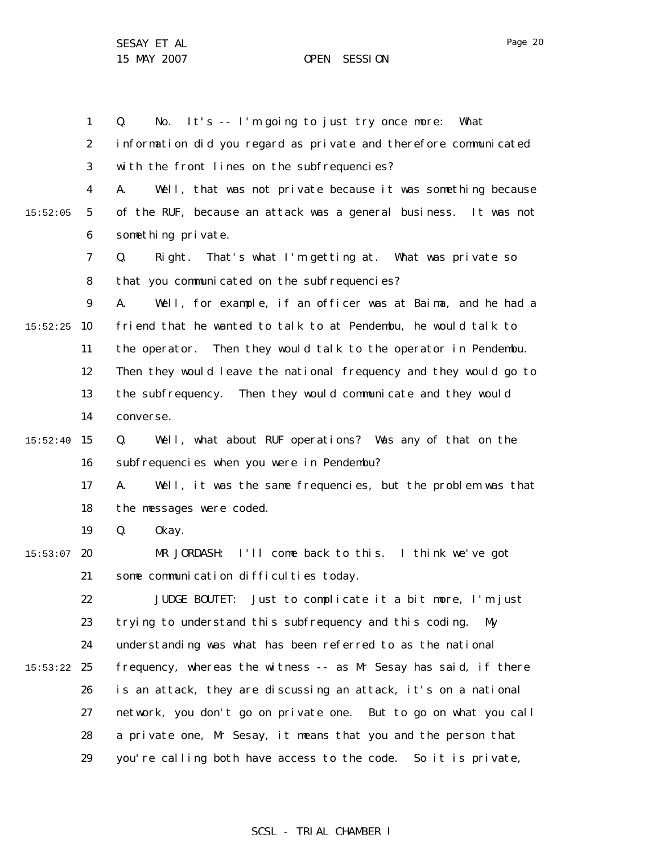Page 20

1 2 3 4 5 6 7 8 9  $15:52:25$  10 11 12 13 14  $15:52:40$  15 16 17 18 19  $15:53:07$  20 21 22 23 24  $15:53:22$  25 26 27 28 29 15:52:05 Q. No. It's -- I'm going to just try once more: What information did you regard as private and therefore communicated with the front lines on the subfrequencies? A. Well, that was not private because it was something because of the RUF, because an attack was a general business. It was not something private. Q. Right. That's what I'm getting at. What was private so that you communicated on the subfrequencies? A. Well, for example, if an officer was at Baima, and he had a friend that he wanted to talk to at Pendembu, he would talk to the operator. Then they would talk to the operator in Pendembu. Then they would leave the national frequency and they would go to the subfrequency. Then they would communicate and they would converse. Q. Well, what about RUF operations? Was any of that on the subfrequencies when you were in Pendembu? A. Well, it was the same frequencies, but the problem was that the messages were coded. Q. Okay. MR JORDASH: I'll come back to this. I think we've got some communication difficulties today. JUDGE BOUTET: Just to complicate it a bit more, I'm just trying to understand this subfrequency and this coding. My understanding was what has been referred to as the national frequency, whereas the witness -- as Mr Sesay has said, if there is an attack, they are discussing an attack, it's on a national network, you don't go on private one. But to go on what you call a private one, Mr Sesay, it means that you and the person that you're calling both have access to the code. So it is private,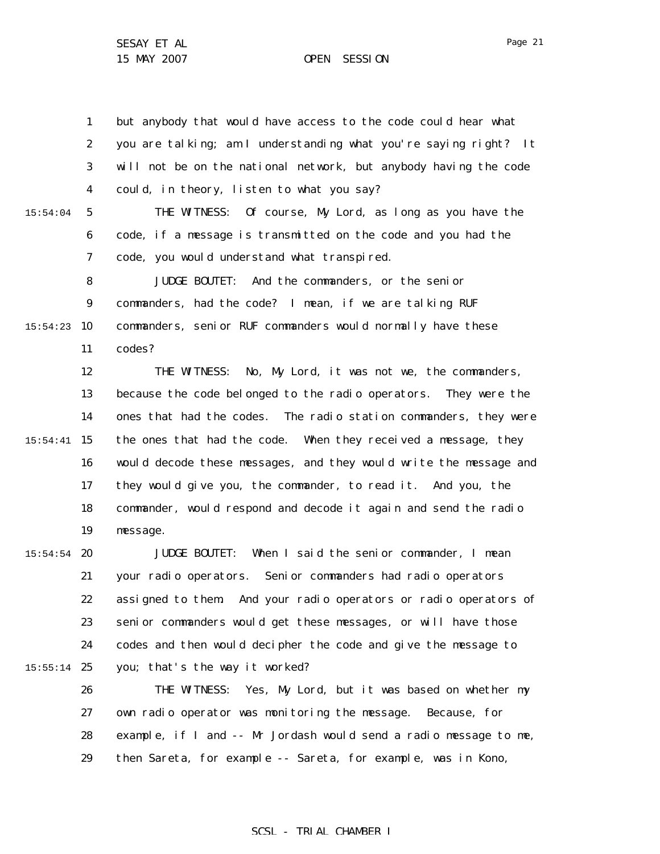1 2 3 4 5 6 7 8 9  $15:54:23$  10 11 12 13 14 15 15:54:41 16 17 18 19  $15:54:54$  20 21 22 23 24  $15:55:14$  25 26 27 28 29 15:54:04 but anybody that would have access to the code could hear what you are talking; am I understanding what you're saying right? It will not be on the national network, but anybody having the code could, in theory, listen to what you say? THE WITNESS: Of course, My Lord, as long as you have the code, if a message is transmitted on the code and you had the code, you would understand what transpired. JUDGE BOUTET: And the commanders, or the senior commanders, had the code? I mean, if we are talking RUF commanders, senior RUF commanders would normally have these codes? THE WITNESS: No, My Lord, it was not we, the commanders, because the code belonged to the radio operators. They were the ones that had the codes. The radio station commanders, they were the ones that had the code. When they received a message, they would decode these messages, and they would write the message and they would give you, the commander, to read it. And you, the commander, would respond and decode it again and send the radio message. JUDGE BOUTET: When I said the senior commander, I mean your radio operators. Senior commanders had radio operators assigned to them. And your radio operators or radio operators of senior commanders would get these messages, or will have those codes and then would decipher the code and give the message to you; that's the way it worked? THE WITNESS: Yes, My Lord, but it was based on whether my own radio operator was monitoring the message. Because, for example, if I and -- Mr Jordash would send a radio message to me, then Sareta, for example -- Sareta, for example, was in Kono,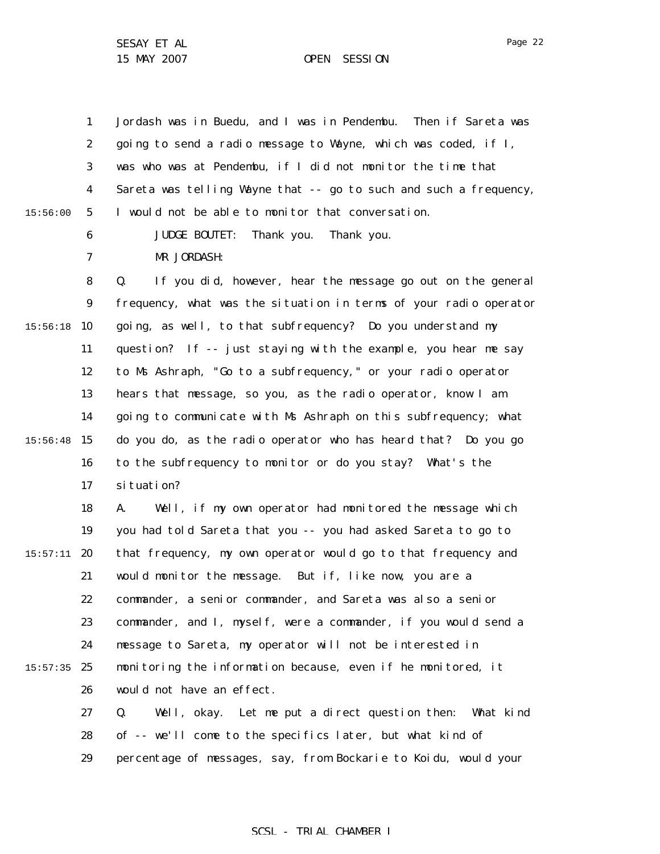1 2 3 4 5 6 7 8 9  $15:56:18$  10 11 12 13 14  $15:56:48$  15 16 17 18 19  $15:57:11$  20 21 22 23 24  $15:57:35$  25 26 27 28 15:56:00 Jordash was in Buedu, and I was in Pendembu. Then if Sareta was going to send a radio message to Wayne, which was coded, if I, was who was at Pendembu, if I did not monitor the time that Sareta was telling Wayne that -- go to such and such a frequency, I would not be able to monitor that conversation. JUDGE BOUTET: Thank you. Thank you. MR JORDASH: Q. If you did, however, hear the message go out on the general frequency, what was the situation in terms of your radio operator going, as well, to that subfrequency? Do you understand my question? If -- just staying with the example, you hear me say to Ms Ashraph, "Go to a subfrequency," or your radio operator hears that message, so you, as the radio operator, know I am going to communicate with Ms Ashraph on this subfrequency; what do you do, as the radio operator who has heard that? Do you go to the subfrequency to monitor or do you stay? What's the situation? A. Well, if my own operator had monitored the message which you had told Sareta that you -- you had asked Sareta to go to that frequency, my own operator would go to that frequency and would monitor the message. But if, like now, you are a commander, a senior commander, and Sareta was also a senior commander, and I, myself, were a commander, if you would send a message to Sareta, my operator will not be interested in monitoring the information because, even if he monitored, it would not have an effect. Q. Well, okay. Let me put a direct question then: What kind of -- we'll come to the specifics later, but what kind of

> 29 percentage of messages, say, from Bockarie to Koidu, would your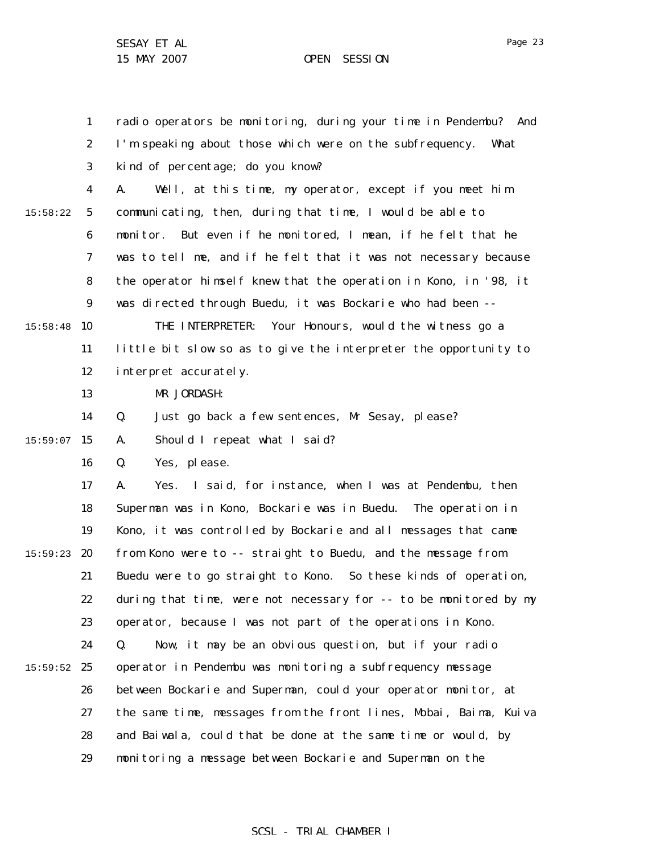Page 23

1 2 3 4 5 6 7 8 9  $15:58:48$  10 11 12 13 14  $15:59:07$  15 16 17 18 19  $15:59:23$  20 21 22 23 24  $15:59:52$  25 26 27 28 29 15:58:22 radio operators be monitoring, during your time in Pendembu? And I'm speaking about those which were on the subfrequency. What kind of percentage; do you know? A. Well, at this time, my operator, except if you meet him communicating, then, during that time, I would be able to monitor. But even if he monitored, I mean, if he felt that he was to tell me, and if he felt that it was not necessary because the operator himself knew that the operation in Kono, in '98, it was directed through Buedu, it was Bockarie who had been -- THE INTERPRETER: Your Honours, would the witness go a little bit slow so as to give the interpreter the opportunity to interpret accurately. MR JORDASH: Q. Just go back a few sentences, Mr Sesay, please? A. Should I repeat what I said? Q. Yes, please. A. Yes. I said, for instance, when I was at Pendembu, then Superman was in Kono, Bockarie was in Buedu. The operation in Kono, it was controlled by Bockarie and all messages that came from Kono were to -- straight to Buedu, and the message from Buedu were to go straight to Kono. So these kinds of operation, during that time, were not necessary for -- to be monitored by my operator, because I was not part of the operations in Kono. Q. Now, it may be an obvious question, but if your radio operator in Pendembu was monitoring a subfrequency message between Bockarie and Superman, could your operator monitor, at the same time, messages from the front lines, Mobai, Baima, Kuiva and Baiwala, could that be done at the same time or would, by monitoring a message between Bockarie and Superman on the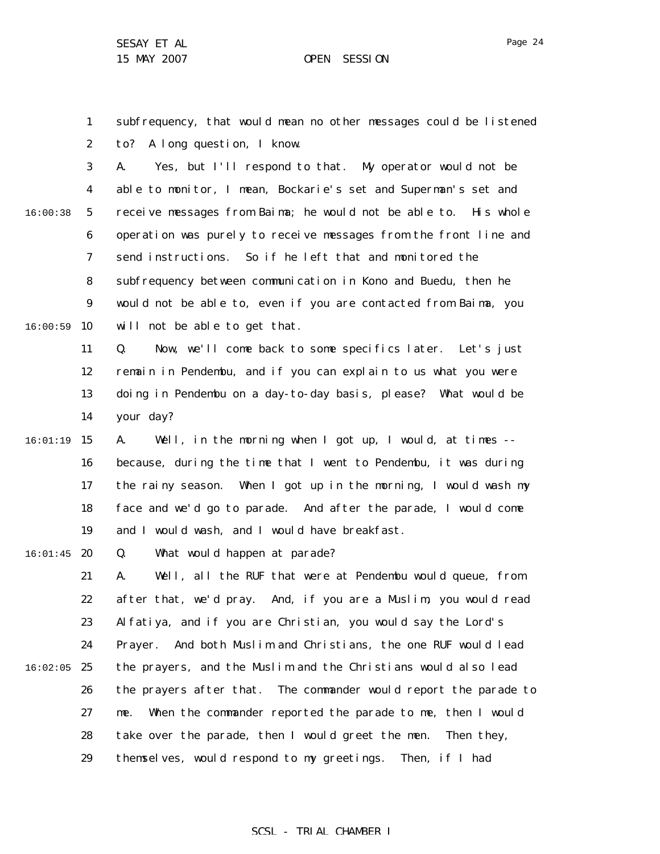Page 24

1 2 subfrequency, that would mean no other messages could be listened to? A long question, I know.

3 4 5 6 7 8 9  $16:00:59$  10 16:00:38 A. Yes, but I'll respond to that. My operator would not be able to monitor, I mean, Bockarie's set and Superman's set and receive messages from Baima; he would not be able to. His whole operation was purely to receive messages from the front line and send instructions. So if he left that and monitored the subfrequency between communication in Kono and Buedu, then he would not be able to, even if you are contacted from Baima, you will not be able to get that.

> 11 12 13 14 Q. Now, we'll come back to some specifics later. Let's just remain in Pendembu, and if you can explain to us what you were doing in Pendembu on a day-to-day basis, please? What would be your day?

15 16:01:19 16 17 18 19 A. Well, in the morning when I got up, I would, at times - because, during the time that I went to Pendembu, it was during the rainy season. When I got up in the morning, I would wash my face and we'd go to parade. And after the parade, I would come and I would wash, and I would have breakfast.

 $16:01:45$  20 Q. What would happen at parade?

21 22 23 24  $16:02:05$  25 26 27 28 29 A. Well, all the RUF that were at Pendembu would queue, from after that, we'd pray. And, if you are a Muslim, you would read Alfatiya, and if you are Christian, you would say the Lord's Prayer. And both Muslim and Christians, the one RUF would lead the prayers, and the Muslim and the Christians would also lead the prayers after that. The commander would report the parade to me. When the commander reported the parade to me, then I would take over the parade, then I would greet the men. Then they, themselves, would respond to my greetings. Then, if I had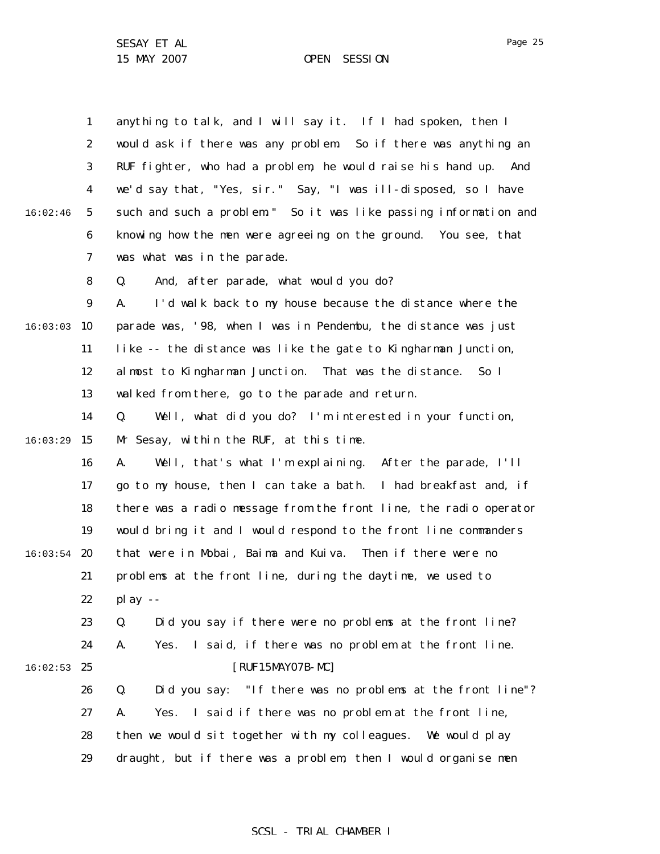1 2 3 4 5 6 7 8 9  $16:03:03$  10 11 12 13 14 16:03:29 15 16 17 18 19  $16:03:54$  20 21 22 23 24  $16:02:53$  25 26 27 28 29 16:02:46 anything to talk, and I will say it. If I had spoken, then I would ask if there was any problem. So if there was anything an RUF fighter, who had a problem, he would raise his hand up. And we'd say that, "Yes, sir." Say, "I was ill-disposed, so I have such and such a problem." So it was like passing information and knowing how the men were agreeing on the ground. You see, that was what was in the parade. Q. And, after parade, what would you do? A. I'd walk back to my house because the distance where the parade was, '98, when I was in Pendembu, the distance was just like -- the distance was like the gate to Kingharman Junction, almost to Kingharman Junction. That was the distance. So I walked from there, go to the parade and return. Q. Well, what did you do? I'm interested in your function, Mr Sesay, within the RUF, at this time. A. Well, that's what I'm explaining. After the parade, I'll go to my house, then I can take a bath. I had breakfast and, if there was a radio message from the front line, the radio operator would bring it and I would respond to the front line commanders that were in Mobai, Baima and Kuiva. Then if there were no problems at the front line, during the daytime, we used to play -- Q. Did you say if there were no problems at the front line? A. Yes. I said, if there was no problem at the front line. [RUF15MAY07B-MC] Q. Did you say: "If there was no problems at the front line"? A. Yes. I said if there was no problem at the front line, then we would sit together with my colleagues. We would play draught, but if there was a problem, then I would organise men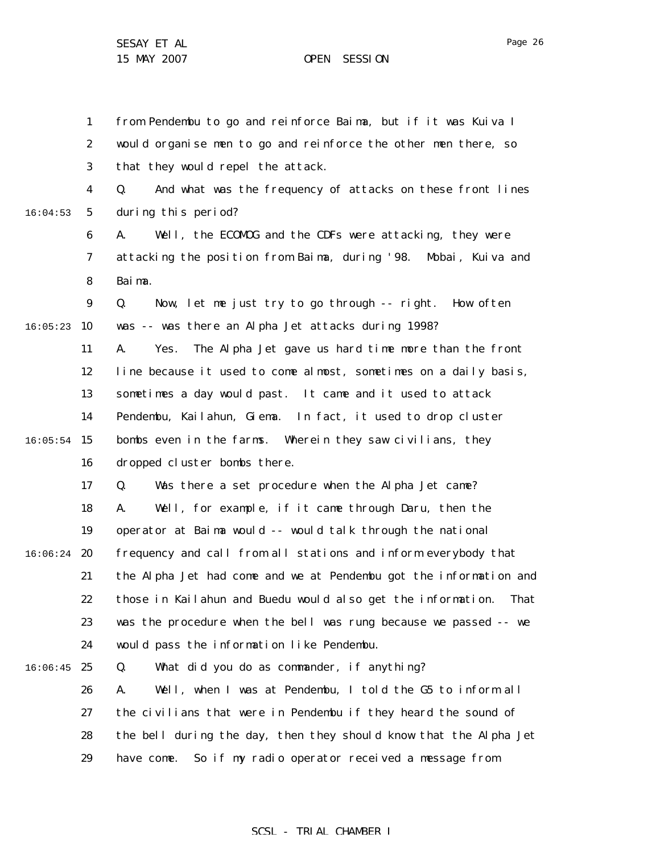1 2 3 4 5 6 7 8 9  $16:05:23$  10 11 12 13 14  $16:05:54$  15 16 17 18 19  $16:06:24$  20 21 22 23 24  $16:06:45$  25 26 27 28 29 16:04:53 from Pendembu to go and reinforce Baima, but if it was Kuiva I would organise men to go and reinforce the other men there, so that they would repel the attack. Q. And what was the frequency of attacks on these front lines during this period? A. Well, the ECOMOG and the CDFs were attacking, they were attacking the position from Baima, during '98. Mobai, Kuiva and Baima. Q. Now, let me just try to go through -- right. How often was -- was there an Alpha Jet attacks during 1998? A. Yes. The Alpha Jet gave us hard time more than the front line because it used to come almost, sometimes on a daily basis, sometimes a day would past. It came and it used to attack Pendembu, Kailahun, Giema. In fact, it used to drop cluster bombs even in the farms. Wherein they saw civilians, they dropped cluster bombs there. Q. Was there a set procedure when the Alpha Jet came? A. Well, for example, if it came through Daru, then the operator at Baima would -- would talk through the national frequency and call from all stations and inform everybody that the Alpha Jet had come and we at Pendembu got the information and those in Kailahun and Buedu would also get the information. That was the procedure when the bell was rung because we passed -- we would pass the information like Pendembu. Q. What did you do as commander, if anything? A. Well, when I was at Pendembu, I told the G5 to inform all the civilians that were in Pendembu if they heard the sound of the bell during the day, then they should know that the Alpha Jet have come. So if my radio operator received a message from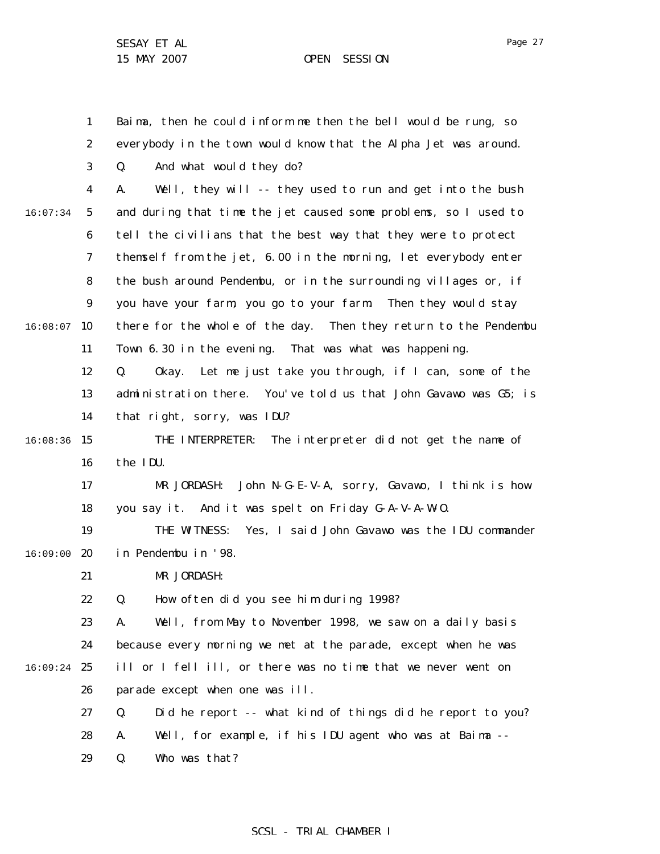1 2 3 4 5 6 7 8 9  $16:08:07$  10 11 12 13 14 16:08:36 15 16 17 18 19 16:09:00 20 21 22 23 24 16:09:24 25 26 27 28 29 16:07:34 Baima, then he could inform me then the bell would be rung, so everybody in the town would know that the Alpha Jet was around. Q. And what would they do? A. Well, they will -- they used to run and get into the bush and during that time the jet caused some problems, so I used to tell the civilians that the best way that they were to protect themself from the jet, 6.00 in the morning, let everybody enter the bush around Pendembu, or in the surrounding villages or, if you have your farm, you go to your farm. Then they would stay there for the whole of the day. Then they return to the Pendembu Town 6.30 in the evening. That was what was happening. Q. Okay. Let me just take you through, if I can, some of the administration there. You've told us that John Gavawo was G5; is that right, sorry, was IDU? THE INTERPRETER: The interpreter did not get the name of the IDU. MR JORDASH: John N-G-E-V-A, sorry, Gavawo, I think is how you say it. And it was spelt on Friday G-A-V-A-W-O. THE WITNESS: Yes, I said John Gavawo was the IDU commander in Pendembu in '98. MR JORDASH: Q. How often did you see him during 1998? A. Well, from May to November 1998, we saw on a daily basis because every morning we met at the parade, except when he was ill or I fell ill, or there was no time that we never went on parade except when one was ill. Q. Did he report -- what kind of things did he report to you? A. Well, for example, if his IDU agent who was at Baima -- Q. Who was that?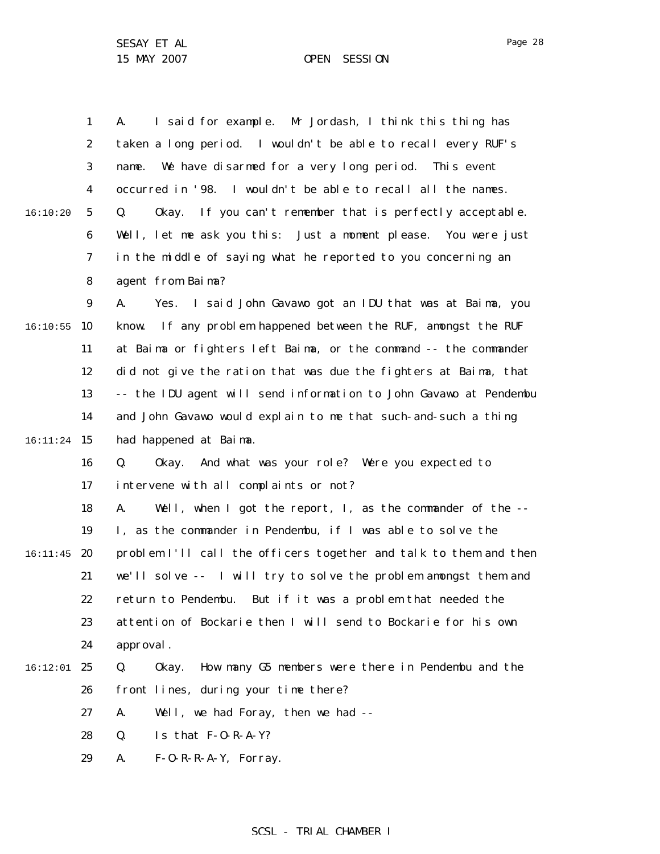1 2 3 4 5 6 7 8 9  $16:10:55$  10 11 12 13 14 15 16:11:24 16 17 18 19  $16:11:45$  20 21 22 23 24 16:12:01 25 26 27 28 29 16:10:20 A. I said for example. Mr Jordash, I think this thing has taken a long period. I wouldn't be able to recall every RUF's name. We have disarmed for a very long period. This event occurred in '98. I wouldn't be able to recall all the names. Q. Okay. If you can't remember that is perfectly acceptable. Well, let me ask you this: Just a moment please. You were just in the middle of saying what he reported to you concerning an agent from Baima? A. Yes. I said John Gavawo got an IDU that was at Baima, you know. If any problem happened between the RUF, amongst the RUF at Baima or fighters left Baima, or the command -- the commander did not give the ration that was due the fighters at Baima, that -- the IDU agent will send information to John Gavawo at Pendembu and John Gavawo would explain to me that such-and-such a thing had happened at Baima. Q. Okay. And what was your role? Were you expected to intervene with all complaints or not? A. Well, when I got the report, I, as the commander of the -- I, as the commander in Pendembu, if I was able to solve the problem I'll call the officers together and talk to them and then we'll solve -- I will try to solve the problem amongst them and return to Pendembu. But if it was a problem that needed the attention of Bockarie then I will send to Bockarie for his own approval. Q. Okay. How many G5 members were there in Pendembu and the front lines, during your time there? A. Well, we had Foray, then we had --  $Q.$  Is that  $F-0-R-A-Y$ ? A. F-O-R-R-A-Y, Forray.

#### Page 28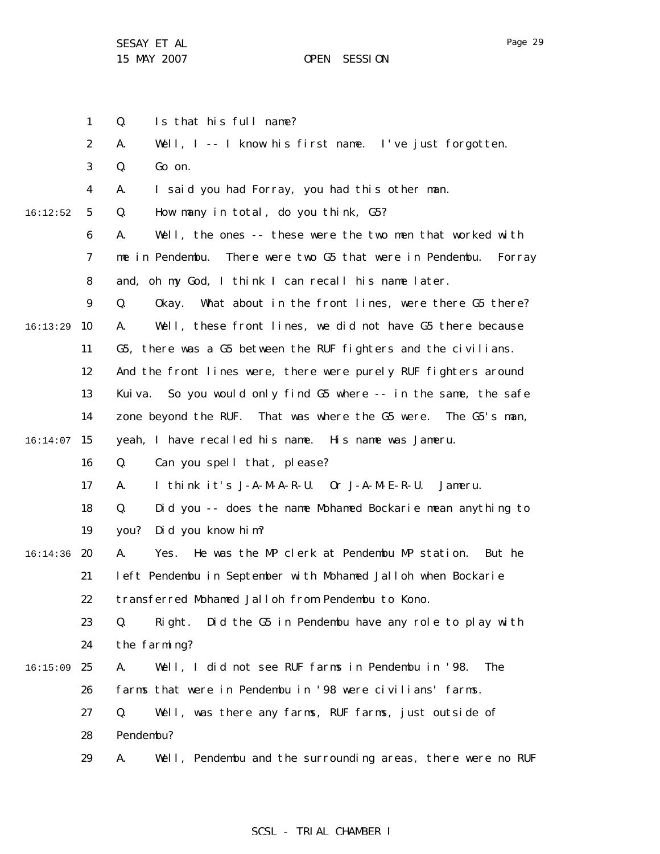1 2 3 4 5 6 7 8 9 16:13:29 10 11 12 13 14  $16:14:07$  15 16 17 18 19  $16:14:36$  20 21 22 23 24  $16:15:09$  25 26 27 28 29 16:12:52 Q. Is that his full name? A. Well, I -- I know his first name. I've just forgotten. Q. Go on. A. I said you had Forray, you had this other man. Q. How many in total, do you think, G5? A. Well, the ones -- these were the two men that worked with me in Pendembu. There were two G5 that were in Pendembu. Forray and, oh my God, I think I can recall his name later. Q. Okay. What about in the front lines, were there G5 there? A. Well, these front lines, we did not have G5 there because G5, there was a G5 between the RUF fighters and the civilians. And the front lines were, there were purely RUF fighters around Kuiva. So you would only find G5 where -- in the same, the safe zone beyond the RUF. That was where the G5 were. The G5's man, yeah, I have recalled his name. His name was Jameru. Q. Can you spell that, please? A. I think it's J-A-M-A-R-U. Or J-A-M-E-R-U. Jameru. Q. Did you -- does the name Mohamed Bockarie mean anything to you? Did you know him? A. Yes. He was the MP clerk at Pendembu MP station. But he left Pendembu in September with Mohamed Jalloh when Bockarie transferred Mohamed Jalloh from Pendembu to Kono. Q. Right. Did the G5 in Pendembu have any role to play with the farming? A. Well, I did not see RUF farms in Pendembu in '98. The farms that were in Pendembu in '98 were civilians' farms. Q. Well, was there any farms, RUF farms, just outside of Pendembu? A. Well, Pendembu and the surrounding areas, there were no RUF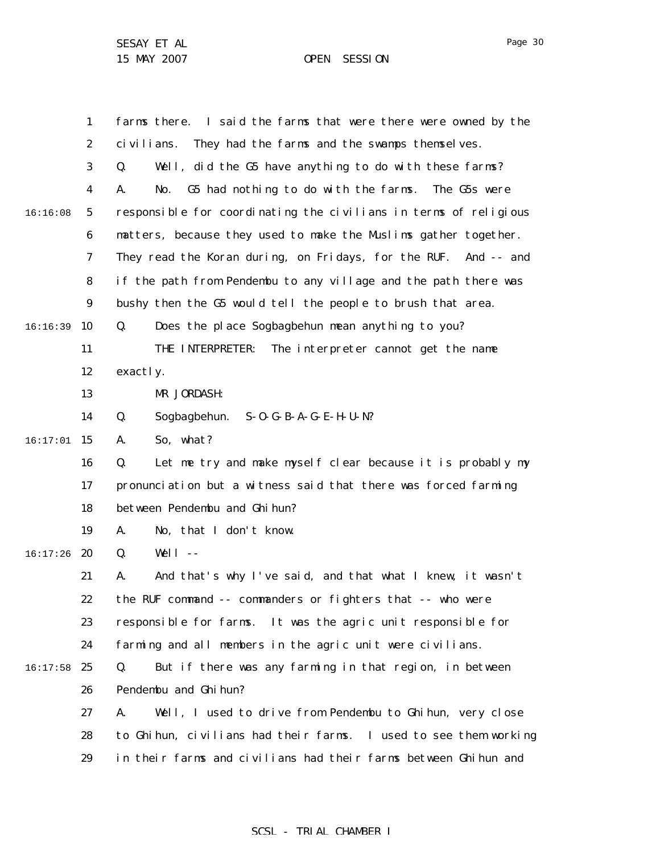1 2 3 4 5 6 7 8 9 16:16:39 10 11 12 13 14 15 16:17:01 16 17 18 19  $16:17:26$  20 21 22 23 24  $16:17:58$  25 26 27 28 29 16:16:08 farms there. I said the farms that were there were owned by the civilians. They had the farms and the swamps themselves. Q. Well, did the G5 have anything to do with these farms? A. No. G5 had nothing to do with the farms. The G5s were responsible for coordinating the civilians in terms of religious matters, because they used to make the Muslims gather together. They read the Koran during, on Fridays, for the RUF. And -- and if the path from Pendembu to any village and the path there was bushy then the G5 would tell the people to brush that area. Q. Does the place Sogbagbehun mean anything to you? THE INTERPRETER: The interpreter cannot get the name exactly. MR JORDASH: Q. Sogbagbehun. S-O-G-B-A-G-E-H-U-N? A. So, what? Q. Let me try and make myself clear because it is probably my pronunciation but a witness said that there was forced farming between Pendembu and Ghihun? A. No, that I don't know. Q. Well -- A. And that's why I've said, and that what I knew, it wasn't the RUF command -- commanders or fighters that -- who were responsible for farms. It was the agric unit responsible for farming and all members in the agric unit were civilians. Q. But if there was any farming in that region, in between Pendembu and Ghihun? A. Well, I used to drive from Pendembu to Ghihun, very close to Ghihun, civilians had their farms. I used to see them working in their farms and civilians had their farms between Ghihun and

Page 30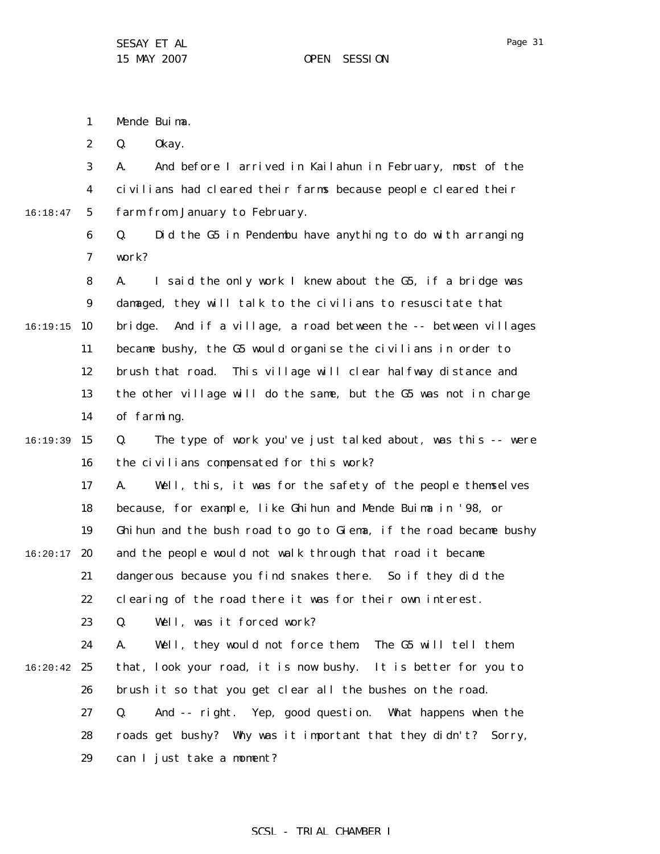Page 31

1 Mende Buima.

2 Q. Okay.

3 4 5 16:18:47 A. And before I arrived in Kailahun in February, most of the civilians had cleared their farms because people cleared their farm from January to February.

> 6 7 Q. Did the G5 in Pendembu have anything to do with arranging work?

8 9  $16:19:15$  10 11 12 13 14 A. I said the only work I knew about the G5, if a bridge was damaged, they will talk to the civilians to resuscitate that bridge. And if a village, a road between the -- between villages became bushy, the G5 would organise the civilians in order to brush that road. This village will clear halfway distance and the other village will do the same, but the G5 was not in charge of farming.

#### 16:19:39 15 16 Q. The type of work you've just talked about, was this -- were the civilians compensated for this work?

17 18 19  $16:20:17$  20 21 22 A. Well, this, it was for the safety of the people themselves because, for example, like Ghihun and Mende Buima in '98, or Ghihun and the bush road to go to Giema, if the road became bushy and the people would not walk through that road it became dangerous because you find snakes there. So if they did the clearing of the road there it was for their own interest.

> 23 Q. Well, was it forced work?

24  $16:20:42$  25 26 27 28 29 A. Well, they would not force them. The G5 will tell them that, look your road, it is now bushy. It is better for you to brush it so that you get clear all the bushes on the road. Q. And -- right. Yep, good question. What happens when the roads get bushy? Why was it important that they didn't? Sorry, can I just take a moment?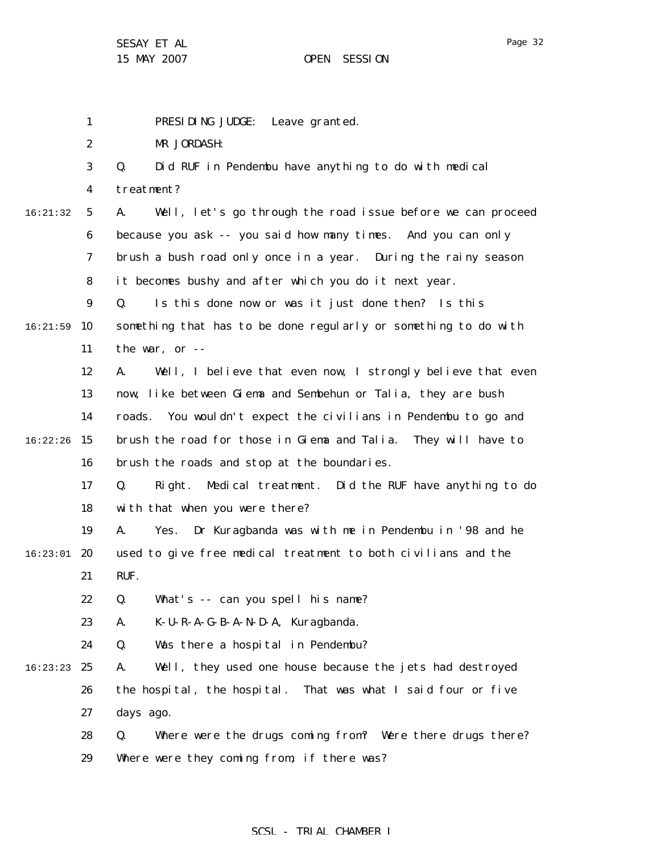1 2 3 4 5 6 7 8 9 16:21:59 10 11 12 13 14 16:22:26 15 16 17 18 19  $16:23:01$  20 21 22 23 24 16:23:23 25 26 27 28 29 16:21:32 PRESIDING JUDGE: Leave granted. MR JORDASH: Q. Did RUF in Pendembu have anything to do with medical treatment? A. Well, let's go through the road issue before we can proceed because you ask -- you said how many times. And you can only brush a bush road only once in a year. During the rainy season it becomes bushy and after which you do it next year. Q. Is this done now or was it just done then? Is this something that has to be done regularly or something to do with the war, or -- A. Well, I believe that even now, I strongly believe that even now, like between Giema and Sembehun or Talia, they are bush roads. You wouldn't expect the civilians in Pendembu to go and brush the road for those in Giema and Talia. They will have to brush the roads and stop at the boundaries. Q. Right. Medical treatment. Did the RUF have anything to do with that when you were there? A. Yes. Dr Kuragbanda was with me in Pendembu in '98 and he used to give free medical treatment to both civilians and the RUF. Q. What's -- can you spell his name? A. K-U-R-A-G-B-A-N-D-A, Kuragbanda. Q. Was there a hospital in Pendembu? A. Well, they used one house because the jets had destroyed the hospital, the hospital. That was what I said four or five days ago. Q. Where were the drugs coming from? Were there drugs there? Where were they coming from, if there was?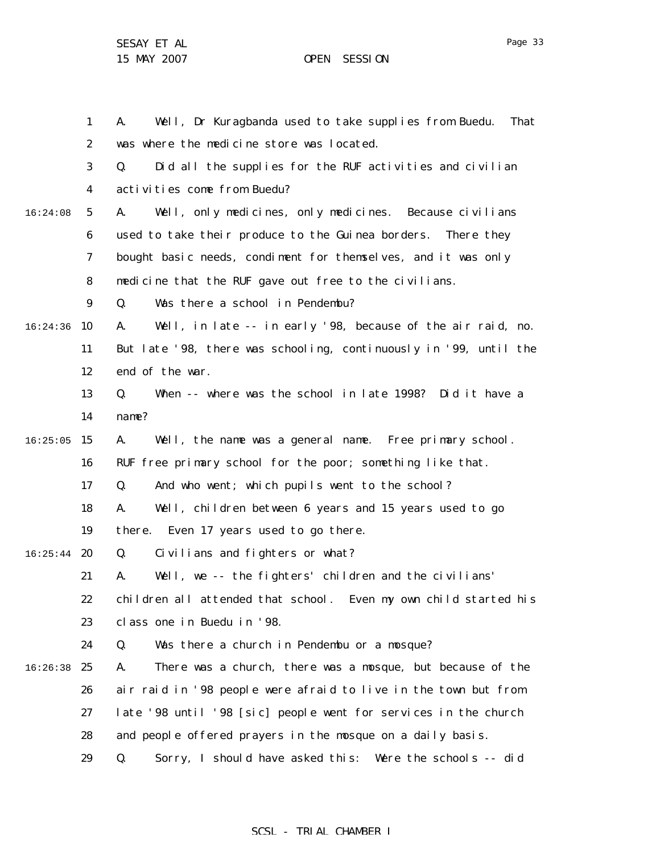|          | $\mathbf{1}$     | Well, Dr Kuragbanda used to take supplies from Buedu.<br>A.<br>That |
|----------|------------------|---------------------------------------------------------------------|
|          | $\boldsymbol{2}$ | was where the medicine store was located.                           |
|          | 3                | Did all the supplies for the RUF activities and civilian<br>Q.      |
|          | 4                | activities come from Buedu?                                         |
| 16:24:08 | $5\phantom{.0}$  | Well, only medicines, only medicines. Because civilians<br>A.       |
|          | $\boldsymbol{6}$ | used to take their produce to the Guinea borders. There they        |
|          | 7                | bought basic needs, condiment for themselves, and it was only       |
|          | 8                | medicine that the RUF gave out free to the civilians.               |
|          | $\boldsymbol{9}$ | Was there a school in Pendembu?<br>Q.                               |
| 16:24:36 | 10               | Well, in late -- in early '98, because of the air raid, no.<br>A.   |
|          | 11               | But late '98, there was schooling, continuously in '99, until the   |
|          | 12               | end of the war.                                                     |
|          | 13               | When -- where was the school in late 1998? Did it have a<br>Q.      |
|          | 14               | name?                                                               |
| 16:25:05 | 15               | Well, the name was a general name. Free primary school.<br>A.       |
|          | 16               | RUF free primary school for the poor; something like that.          |
|          | 17               | And who went; which pupils went to the school?<br>Q.                |
|          | 18               | Well, children between 6 years and 15 years used to go<br>A.        |
|          | 19               | there. Even 17 years used to go there.                              |
| 16:25:44 | 20               | Civilians and fighters or what?<br>Q.                               |
|          | 21               | Well, we -- the fighters' children and the civilians'<br>A.         |
|          | 22               | children all attended that school. Even my own child started his    |
|          | 23               | class one in Buedu in '98.                                          |
|          | 24               | Was there a church in Pendembu or a mosque?<br>Q.                   |
| 16:26:38 | 25               | There was a church, there was a mosque, but because of the<br>A.    |
|          | 26               | air raid in '98 people were afraid to live in the town but from     |
|          | 27               | late '98 until '98 [sic] people went for services in the church     |
|          | 28               | and people offered prayers in the mosque on a daily basis.          |
|          | 29               | Sorry, I should have asked this: Were the schools -- did<br>Q.      |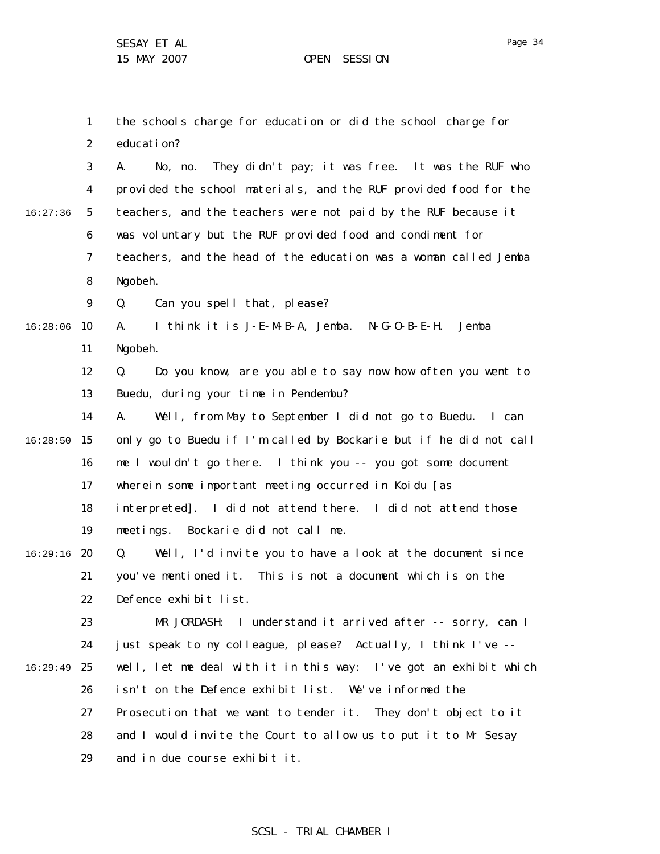|          | $\mathbf{1}$     | the schools charge for education or did the school charge for     |
|----------|------------------|-------------------------------------------------------------------|
|          | $\boldsymbol{2}$ | education?                                                        |
|          | $\boldsymbol{3}$ | They didn't pay; it was free. It was the RUF who<br>A.<br>No, no. |
|          | 4                | provided the school materials, and the RUF provided food for the  |
| 16:27:36 | $\sqrt{5}$       | teachers, and the teachers were not paid by the RUF because it    |
|          | 6                | was voluntary but the RUF provided food and condiment for         |
|          | 7                | teachers, and the head of the education was a woman called Jemba  |
|          | 8                | Ngobeh.                                                           |
|          | $\boldsymbol{9}$ | Q.<br>Can you spell that, please?                                 |
| 16:28:06 | 10               | I think it is J-E-M-B-A, Jemba. N-G-0-B-E-H.<br>Jemba<br>A.       |
|          | 11               | Ngobeh.                                                           |
|          | 12               | Q.<br>Do you know, are you able to say now how often you went to  |
|          | 13               | Buedu, during your time in Pendembu?                              |
|          | 14               | Well, from May to September I did not go to Buedu.<br>A.<br>I can |
| 16:28:50 | 15               | only go to Buedu if I'm called by Bockarie but if he did not call |
|          | 16               | me I wouldn't go there. I think you -- you got some document      |
|          | 17               | wherein some important meeting occurred in Koidu [as              |
|          | 18               | interpreted]. I did not attend there. I did not attend those      |
|          | 19               | meetings.<br>Bockarie did not call me.                            |
| 16:29:16 | 20               | Q.<br>Well, I'd invite you to have a look at the document since   |
|          | 21               | you've mentioned it. This is not a document which is on the       |
|          | 22               | Defence exhibit list.                                             |
|          | 23               | MR JORDASH:<br>I understand it arrived after -- sorry, can I      |
|          | 24               | just speak to my colleague, please? Actually, I think I've --     |
| 16:29:49 | 25               | well, let me deal with it in this way: I've got an exhibit which  |
|          | 26               | isn't on the Defence exhibit list. We've informed the             |
|          | 27               | Prosecution that we want to tender it. They don't object to it    |
|          | 28               | and I would invite the Court to allow us to put it to Mr Sesay    |
|          | 29               | and in due course exhibit it.                                     |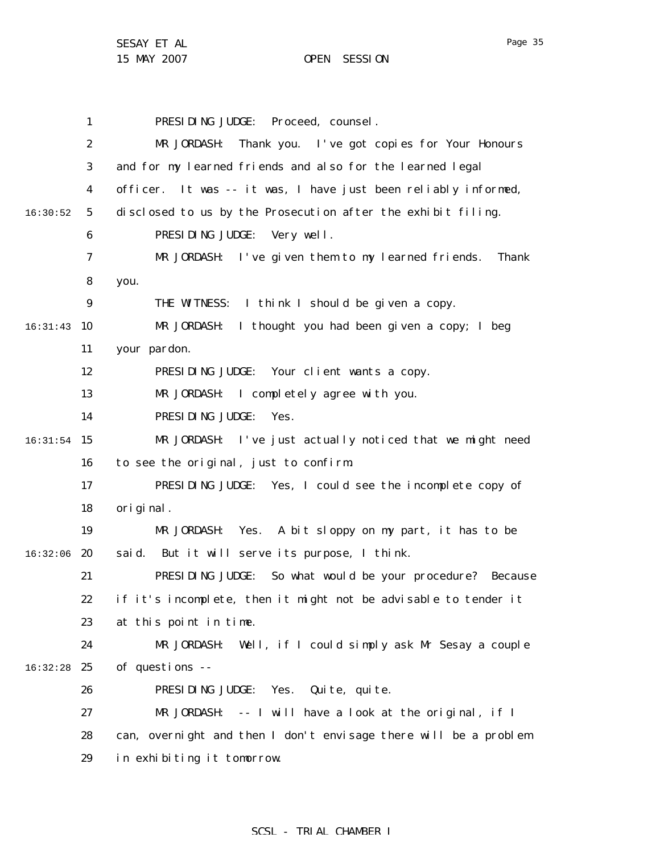15 MAY 2007 OPEN SESSION

1 2 3 4 5 6 7 8 9 16:31:43 10 11 12 13 14 16:31:54 15 16 17 18 19 16:32:06 20 21 22 23 24 16:32:28 25 26 27 28 29 16:30:52 PRESIDING JUDGE: Proceed, counsel. MR JORDASH: Thank you. I've got copies for Your Honours and for my learned friends and also for the learned legal officer. It was -- it was, I have just been reliably informed, disclosed to us by the Prosecution after the exhibit filing. PRESIDING JUDGE: Very well. MR JORDASH: I've given them to my learned friends. Thank you. THE WITNESS: I think I should be given a copy. MR JORDASH: I thought you had been given a copy; I beg your pardon. PRESIDING JUDGE: Your client wants a copy. MR JORDASH: I completely agree with you. PRESIDING JUDGE: Yes. MR JORDASH: I've just actually noticed that we might need to see the original, just to confirm. PRESIDING JUDGE: Yes, I could see the incomplete copy of original. MR JORDASH: Yes. A bit sloppy on my part, it has to be said. But it will serve its purpose, I think. PRESIDING JUDGE: So what would be your procedure? Because if it's incomplete, then it might not be advisable to tender it at this point in time. MR JORDASH: Well, if I could simply ask Mr Sesay a couple of questions -- PRESIDING JUDGE: Yes. Quite, quite. MR JORDASH: -- I will have a look at the original, if I can, overnight and then I don't envisage there will be a problem in exhibiting it tomorrow.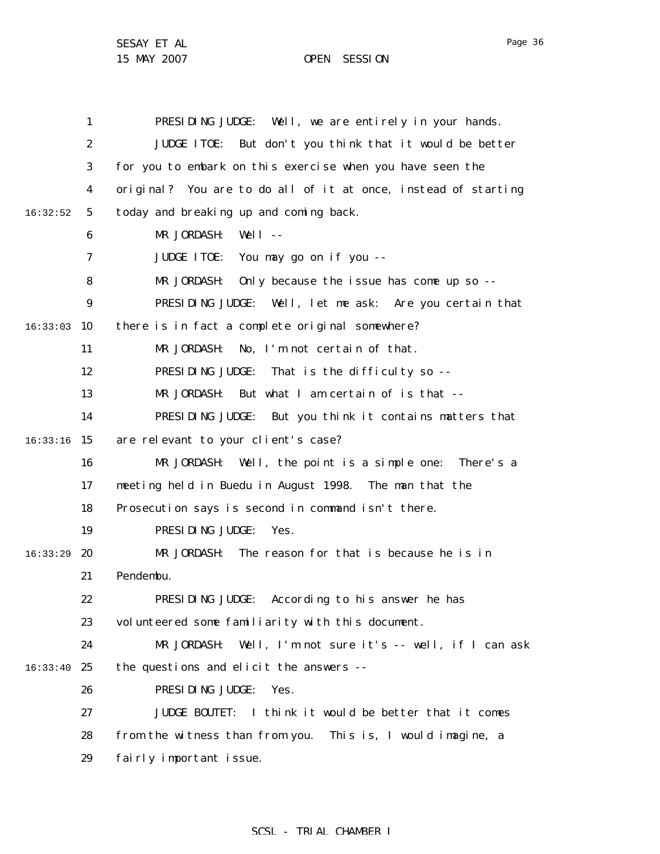15 MAY 2007 OPEN SESSION

1 2 3 4 5 6 7 8 9  $16:33:03$  10 11 12 13 14 16:33:16 15 16 17 18 19 16:33:29 **20** 21 22 23 24 16:33:40 25 26 27 28 29 16:32:52 PRESIDING JUDGE: Well, we are entirely in your hands. JUDGE ITOE: But don't you think that it would be better for you to embark on this exercise when you have seen the original? You are to do all of it at once, instead of starting today and breaking up and coming back. MR JORDASH: Well -- JUDGE ITOE: You may go on if you -- MR JORDASH: Only because the issue has come up so -- PRESIDING JUDGE: Well, let me ask: Are you certain that there is in fact a complete original somewhere? MR JORDASH: No, I'm not certain of that. PRESIDING JUDGE: That is the difficulty so --MR JORDASH: But what I am certain of is that -- PRESIDING JUDGE: But you think it contains matters that are relevant to your client's case? MR JORDASH: Well, the point is a simple one: There's a meeting held in Buedu in August 1998. The man that the Prosecution says is second in command isn't there. PRESIDING JUDGE: Yes. MR JORDASH: The reason for that is because he is in Pendembu. PRESIDING JUDGE: According to his answer he has volunteered some familiarity with this document. MR JORDASH: Well, I'm not sure it's -- well, if I can ask the questions and elicit the answers -- PRESIDING JUDGE: Yes. JUDGE BOUTET: I think it would be better that it comes from the witness than from you. This is, I would imagine, a fairly important issue.

## SCSL - TRIAL CHAMBER I

Page 36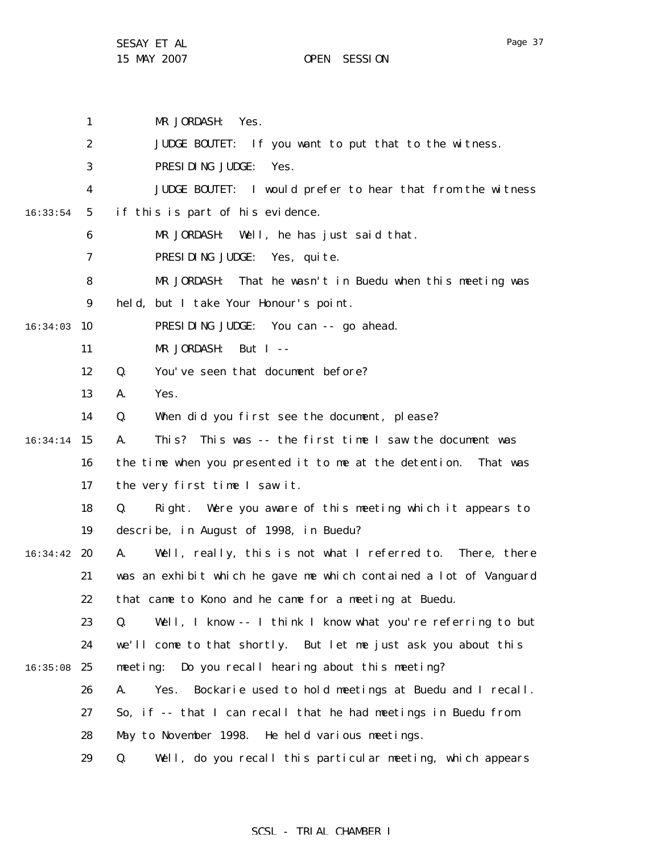15 MAY 2007 OPEN SESSION

1 2 3 4 5 6 7 8 9  $16:34:03$  10 11 12 13 14 15 16:34:14 16 17 18 19 16:34:42 **20** 21 22 23 24  $16:35:08$  25 26 27 28 29 16:33:54 MR JORDASH: Yes. JUDGE BOUTET: If you want to put that to the witness. PRESIDING JUDGE: Yes. JUDGE BOUTET: I would prefer to hear that from the witness if this is part of his evidence. MR JORDASH: Well, he has just said that. PRESIDING JUDGE: Yes, quite. MR JORDASH: That he wasn't in Buedu when this meeting was held, but I take Your Honour's point. PRESIDING JUDGE: You can -- go ahead. MR JORDASH: But I -- Q. You've seen that document before? A. Yes. Q. When did you first see the document, please? A. This? This was -- the first time I saw the document was the time when you presented it to me at the detention. That was the very first time I saw it. Q. Right. Were you aware of this meeting which it appears to describe, in August of 1998, in Buedu? A. Well, really, this is not what I referred to. There, there was an exhibit which he gave me which contained a lot of Vanguard that came to Kono and he came for a meeting at Buedu. Q. Well, I know -- I think I know what you're referring to but we'll come to that shortly. But let me just ask you about this meeting: Do you recall hearing about this meeting? A. Yes. Bockarie used to hold meetings at Buedu and I recall. So, if -- that I can recall that he had meetings in Buedu from May to November 1998. He held various meetings. Q. Well, do you recall this particular meeting, which appears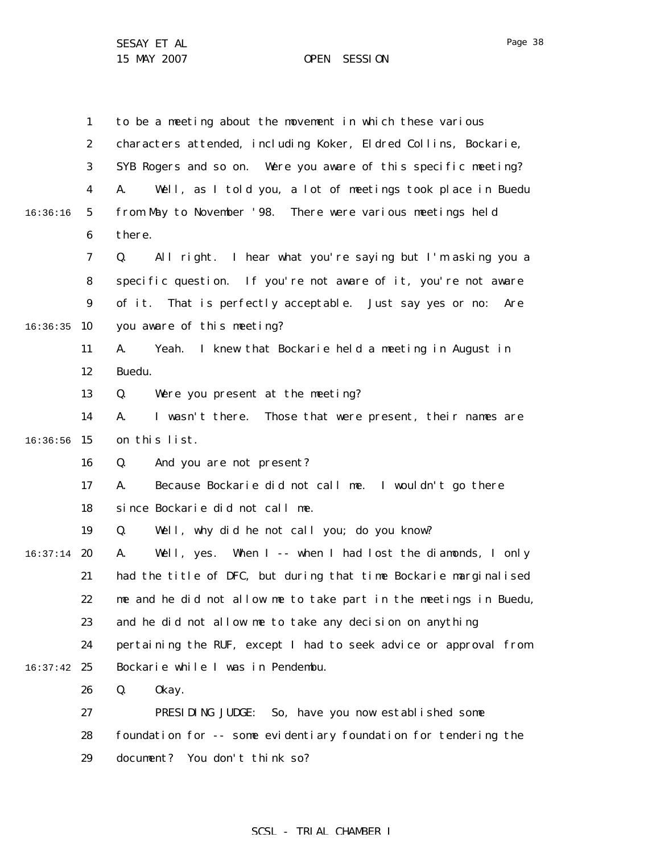1 2 3 4 5 6 7 8 9  $16:36:35$  10 11 12 13 14  $16:36:56$  15 16 17 18 19  $16:37:14$  20 21 22 23 24  $16:37:42$  25 26 27 28 29 16:36:16 to be a meeting about the movement in which these various characters attended, including Koker, Eldred Collins, Bockarie, SYB Rogers and so on. Were you aware of this specific meeting? A. Well, as I told you, a lot of meetings took place in Buedu from May to November '98. There were various meetings held there. Q. All right. I hear what you're saying but I'm asking you a specific question. If you're not aware of it, you're not aware of it. That is perfectly acceptable. Just say yes or no: Are you aware of this meeting? A. Yeah. I knew that Bockarie held a meeting in August in Buedu. Q. Were you present at the meeting? A. I wasn't there. Those that were present, their names are on this list. Q. And you are not present? A. Because Bockarie did not call me. I wouldn't go there since Bockarie did not call me. Q. Well, why did he not call you; do you know? A. Well, yes. When I -- when I had lost the diamonds, I only had the title of DFC, but during that time Bockarie marginalised me and he did not allow me to take part in the meetings in Buedu, and he did not allow me to take any decision on anything pertaining the RUF, except I had to seek advice or approval from Bockarie while I was in Pendembu. Q. Okay. PRESIDING JUDGE: So, have you now established some foundation for -- some evidentiary foundation for tendering the document? You don't think so?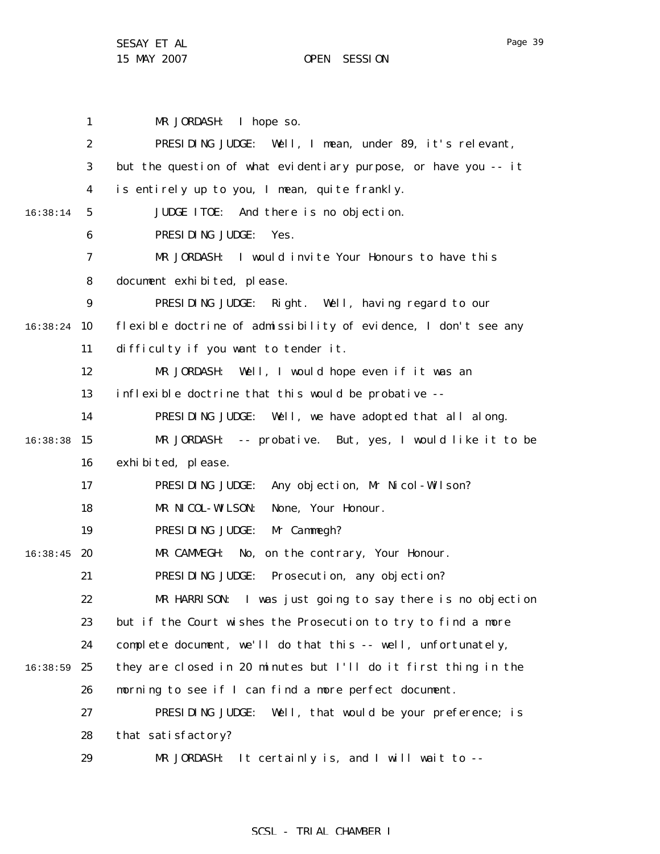15 MAY 2007 OPEN SESSION

1 2 3 4 5 6 7 8 9 16:38:24 10 11 12 13 14 16:38:38 15 16 17 18 19  $16:38:45$  20 21 22 23 24 16:38:59 25 26 27 28 29 16:38:14 MR JORDASH: I hope so. PRESIDING JUDGE: Well, I mean, under 89, it's relevant, but the question of what evidentiary purpose, or have you -- it is entirely up to you, I mean, quite frankly. JUDGE ITOE: And there is no objection. PRESIDING JUDGE: Yes. MR JORDASH: I would invite Your Honours to have this document exhibited, please. PRESIDING JUDGE: Right. Well, having regard to our flexible doctrine of admissibility of evidence, I don't see any difficulty if you want to tender it. MR JORDASH: Well, I would hope even if it was an inflexible doctrine that this would be probative -- PRESIDING JUDGE: Well, we have adopted that all along. MR JORDASH: -- probative. But, yes, I would like it to be exhibited, please. PRESIDING JUDGE: Any objection, Mr Nicol-Wilson? MR NICOL-WILSON: None, Your Honour. PRESIDING JUDGE: Mr Cammegh? MR CAMMEGH: No, on the contrary, Your Honour. PRESIDING JUDGE: Prosecution, any objection? MR HARRISON: I was just going to say there is no objection but if the Court wishes the Prosecution to try to find a more complete document, we'll do that this -- well, unfortunately, they are closed in 20 minutes but I'll do it first thing in the morning to see if I can find a more perfect document. PRESIDING JUDGE: Well, that would be your preference; is that satisfactory? MR JORDASH: It certainly is, and I will wait to --

## SCSL - TRIAL CHAMBER I

Page 39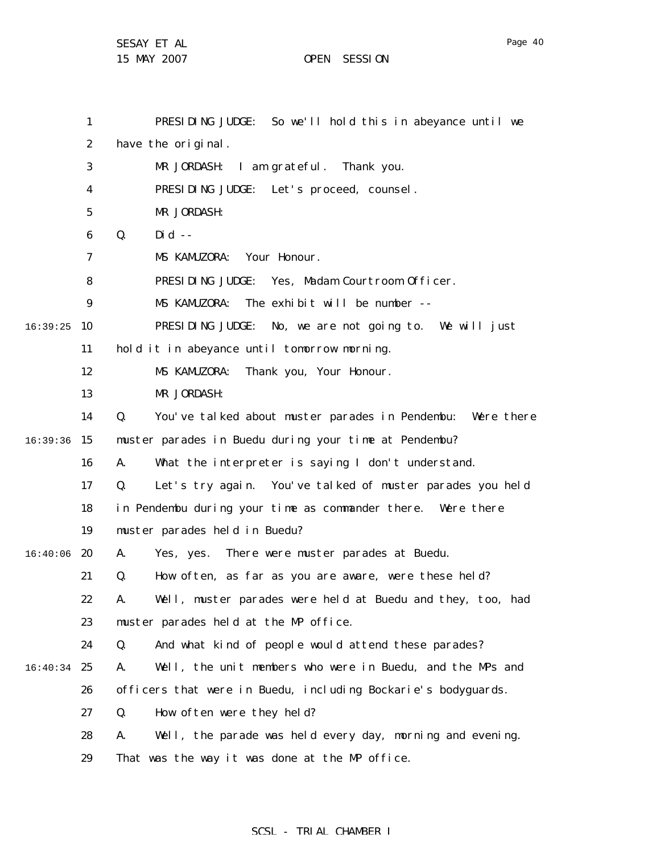1 2 3 4 5 6 7 8 9  $16:39:25$  10 11 12 13 14 16:39:36 15 16 17 18 19  $16:40:06$  20 21 22 23 24 16:40:34 25 26 27 28 29 PRESIDING JUDGE: So we'll hold this in abeyance until we have the original. MR JORDASH: I am grateful. Thank you. PRESIDING JUDGE: Let's proceed, counsel. MR JORDASH: Q. Did -- MS KAMUZORA: Your Honour. PRESIDING JUDGE: Yes, Madam Courtroom Officer. MS KAMUZORA: The exhibit will be number -- PRESIDING JUDGE: No, we are not going to. We will just hold it in abeyance until tomorrow morning. MS KAMUZORA: Thank you, Your Honour. MR JORDASH: Q. You've talked about muster parades in Pendembu: Were there muster parades in Buedu during your time at Pendembu? A. What the interpreter is saying I don't understand. Q. Let's try again. You've talked of muster parades you held in Pendembu during your time as commander there. Were there muster parades held in Buedu? A. Yes, yes. There were muster parades at Buedu. Q. How often, as far as you are aware, were these held? A. Well, muster parades were held at Buedu and they, too, had muster parades held at the MP office. Q. And what kind of people would attend these parades? A. Well, the unit members who were in Buedu, and the MPs and officers that were in Buedu, including Bockarie's bodyguards. Q. How often were they held? A. Well, the parade was held every day, morning and evening. That was the way it was done at the MP office.

## SCSL - TRIAL CHAMBER I

Page 40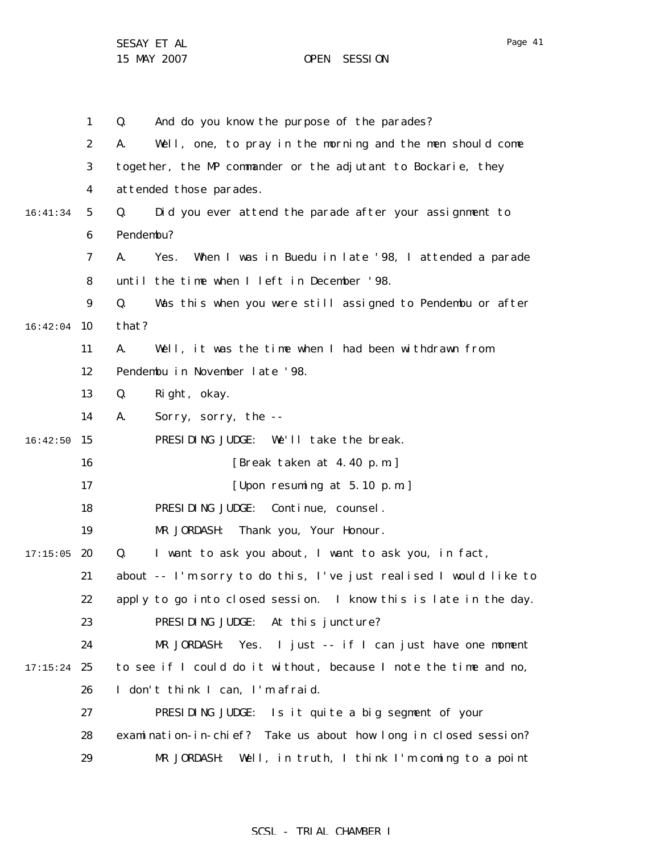|          | $\mathbf{1}$            | And do you know the purpose of the parades?<br>Q.                  |
|----------|-------------------------|--------------------------------------------------------------------|
|          | $\boldsymbol{2}$        | Well, one, to pray in the morning and the men should come<br>A.    |
|          | 3                       | together, the MP commander or the adjutant to Bockarie, they       |
|          | $\overline{\mathbf{4}}$ | attended those parades.                                            |
| 16:41:34 | $5\overline{ }$         | Q.<br>Did you ever attend the parade after your assignment to      |
|          | 6                       | Pendembu?                                                          |
|          | 7                       | When I was in Buedu in late '98, I attended a parade<br>A.<br>Yes. |
|          | 8                       | until the time when I left in December '98.                        |
|          | $\boldsymbol{9}$        | Q.<br>Was this when you were still assigned to Pendembu or after   |
| 16:42:04 | 10                      | that?                                                              |
|          | 11                      | Well, it was the time when I had been withdrawn from<br>A.         |
|          | 12                      | Pendembu in November late '98.                                     |
|          | 13                      | Q.<br>Right, okay.                                                 |
|          | 14                      | Sorry, sorry, the --<br>A.                                         |
| 16:42:50 | 15                      | PRESIDING JUDGE:<br>We'll take the break.                          |
|          | 16                      | [Break taken at 4.40 p.m.]                                         |
|          | 17                      | [Upon resuming at 5.10 p.m.]                                       |
|          | 18                      | PRESIDING JUDGE:<br>Continue, counsel.                             |
|          | 19                      | MR JORDASH:<br>Thank you, Your Honour.                             |
| 17:15:05 | 20                      | I want to ask you about, I want to ask you, in fact,<br>Q.         |
|          | 21                      | about -- I'm sorry to do this, I've just realised I would like to  |
|          | 22                      | apply to go into closed session. I know this is late in the day.   |
|          | 23                      | PRESIDING JUDGE: At this juncture?                                 |
|          | 24                      | MR JORDASH: Yes. I just -- if I can just have one moment           |
| 17:15:24 | 25                      | to see if I could do it without, because I note the time and no,   |
|          | 26                      | I don't think I can, I'm afraid.                                   |
|          | 27                      | PRESIDING JUDGE: Is it quite a big segment of your                 |
|          | 28                      | examination-in-chief? Take us about how long in closed session?    |
|          | 29                      | MR JORDASH:<br>Well, in truth, I think I'm coming to a point       |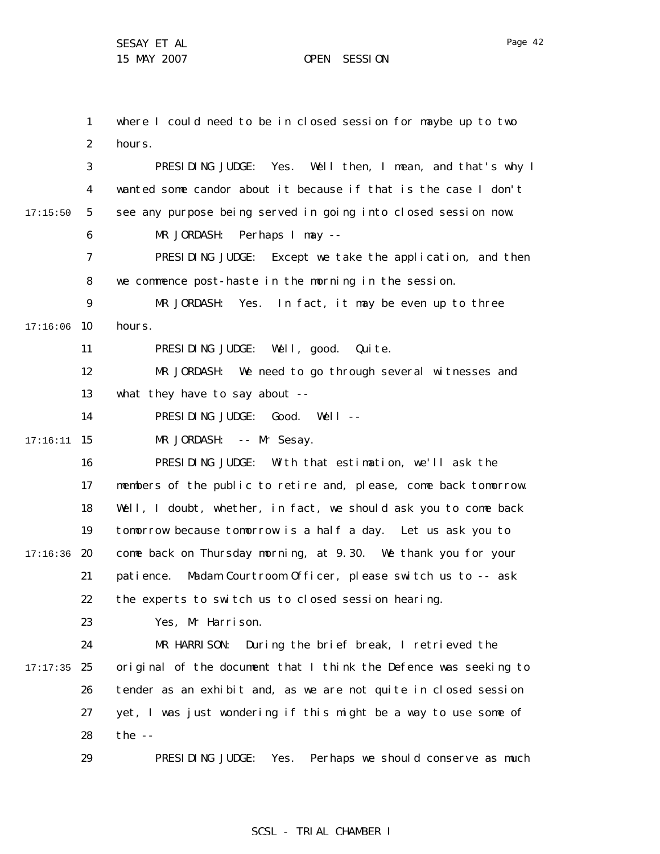Page 42

1 2 3 4 5 6 7 8 9  $17:16:06$  10 11 12 13 14  $17:16:11$  15 16 17 18 19  $17:16:36$  20 21 22 23 24  $17:17:35$  25 26 27 28 29 17:15:50 where I could need to be in closed session for maybe up to two hours. PRESIDING JUDGE: Yes. Well then, I mean, and that's why I wanted some candor about it because if that is the case I don't see any purpose being served in going into closed session now. MR JORDASH: Perhaps I may -- PRESIDING JUDGE: Except we take the application, and then we commence post-haste in the morning in the session. MR JORDASH: Yes. In fact, it may be even up to three hours. PRESIDING JUDGE: Well, good. Quite. MR JORDASH: We need to go through several witnesses and what they have to say about -- PRESIDING JUDGE: Good. Well -- MR JORDASH: -- Mr Sesay. PRESIDING JUDGE: With that estimation, we'll ask the members of the public to retire and, please, come back tomorrow. Well, I doubt, whether, in fact, we should ask you to come back tomorrow because tomorrow is a half a day. Let us ask you to come back on Thursday morning, at 9.30. We thank you for your patience. Madam Courtroom Officer, please switch us to -- ask the experts to switch us to closed session hearing. Yes, Mr Harrison. MR HARRISON: During the brief break, I retrieved the original of the document that I think the Defence was seeking to tender as an exhibit and, as we are not quite in closed session yet, I was just wondering if this might be a way to use some of the -- PRESIDING JUDGE: Yes. Perhaps we should conserve as much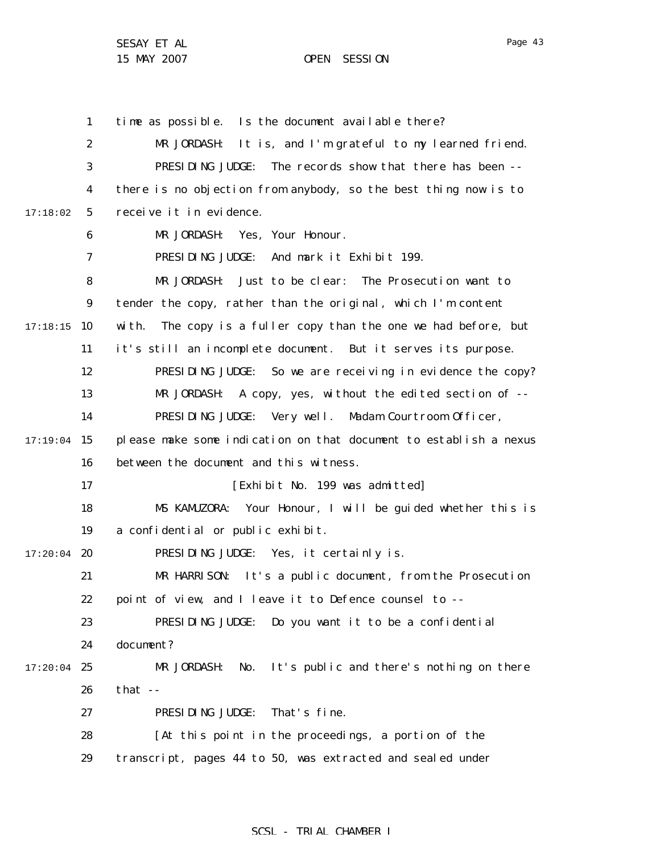1 2 3 4 5 6 7 8 9  $17:18:15$  10 11 12 13 14  $17:19:04$  15 16 17 18 19  $17:20:04$  20 21 22 23 24  $17:20:04$  25 26 27 28 29 17:18:02 time as possible. Is the document available there? MR JORDASH: It is, and I'm grateful to my learned friend. PRESIDING JUDGE: The records show that there has been - there is no objection from anybody, so the best thing now is to receive it in evidence. MR JORDASH: Yes, Your Honour. PRESIDING JUDGE: And mark it Exhibit 199. MR JORDASH: Just to be clear: The Prosecution want to tender the copy, rather than the original, which I'm content with. The copy is a fuller copy than the one we had before, but it's still an incomplete document. But it serves its purpose. PRESIDING JUDGE: So we are receiving in evidence the copy? MR JORDASH: A copy, yes, without the edited section of -- PRESIDING JUDGE: Very well. Madam Courtroom Officer, please make some indication on that document to establish a nexus between the document and this witness. [Exhibit No. 199 was admitted] MS KAMUZORA: Your Honour, I will be guided whether this is a confidential or public exhibit. PRESIDING JUDGE: Yes, it certainly is. MR HARRISON: It's a public document, from the Prosecution point of view, and I leave it to Defence counsel to -- PRESIDING JUDGE: Do you want it to be a confidential document? MR JORDASH: No. It's public and there's nothing on there that -- PRESIDING JUDGE: That's fine. [At this point in the proceedings, a portion of the transcript, pages 44 to 50, was extracted and sealed under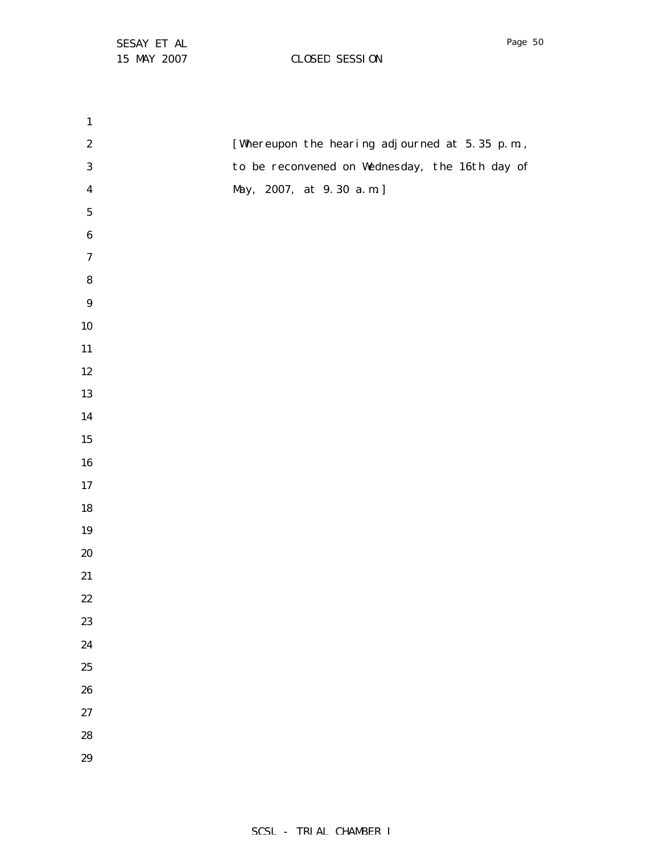MAY 2007 CLOSED SESSION

Page 50

| $\mathbf{1}$     |                                                |
|------------------|------------------------------------------------|
| $\boldsymbol{2}$ | [Whereupon the hearing adjourned at 5.35 p.m., |
| $\bf{3}$         | to be reconvened on Wednesday, the 16th day of |
| $\boldsymbol{4}$ | May, 2007, at 9.30 a.m.]                       |
| ${\bf 5}$        |                                                |
| $\bf 6$          |                                                |
| $\boldsymbol{7}$ |                                                |
| ${\bf 8}$        |                                                |
| $\boldsymbol{9}$ |                                                |
| ${\bf 10}$       |                                                |
| 11               |                                                |
| $12\,$           |                                                |
| 13               |                                                |
| 14               |                                                |
| $15\,$           |                                                |
| ${\bf 16}$       |                                                |
| $17\,$           |                                                |
| ${\bf 18}$       |                                                |
| $19\,$           |                                                |
| $20\,$           |                                                |
| 21               |                                                |
| $22\,$           |                                                |
| 23               |                                                |
| $24\phantom{.}$  |                                                |
| 25               |                                                |
| ${\bf 26}$       |                                                |
| $27\,$           |                                                |
| 28               |                                                |
| 29               |                                                |